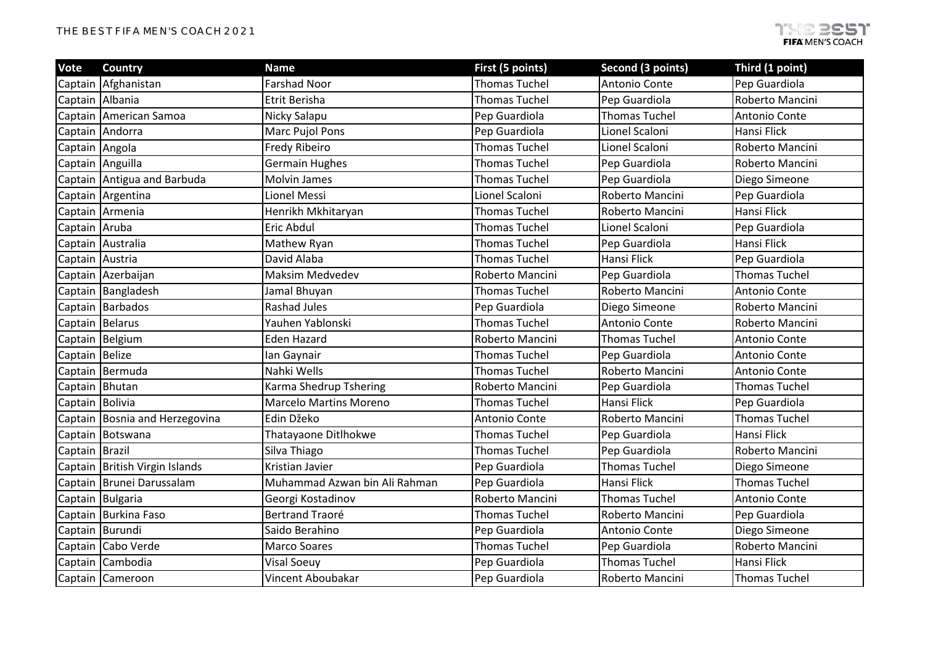| <b>Vote</b>     | <b>Country</b>                | <b>Name</b>                   | First (5 points)     | Second (3 points)    | Third (1 point)      |
|-----------------|-------------------------------|-------------------------------|----------------------|----------------------|----------------------|
| Captain         | Afghanistan                   | <b>Farshad Noor</b>           | <b>Thomas Tuchel</b> | Antonio Conte        | Pep Guardiola        |
|                 | Captain Albania               | Etrit Berisha                 | <b>Thomas Tuchel</b> | Pep Guardiola        | Roberto Mancini      |
| Captain         | American Samoa                | Nicky Salapu                  | Pep Guardiola        | <b>Thomas Tuchel</b> | Antonio Conte        |
|                 | Captain Andorra               | Marc Pujol Pons               | Pep Guardiola        | Lionel Scaloni       | Hansi Flick          |
| Captain Angola  |                               | Fredy Ribeiro                 | <b>Thomas Tuchel</b> | Lionel Scaloni       | Roberto Mancini      |
|                 | Captain Anguilla              | <b>Germain Hughes</b>         | <b>Thomas Tuchel</b> | Pep Guardiola        | Roberto Mancini      |
|                 | Captain Antigua and Barbuda   | <b>Molvin James</b>           | <b>Thomas Tuchel</b> | Pep Guardiola        | Diego Simeone        |
|                 | Captain Argentina             | Lionel Messi                  | Lionel Scaloni       | Roberto Mancini      | Pep Guardiola        |
|                 | Captain Armenia               | Henrikh Mkhitaryan            | <b>Thomas Tuchel</b> | Roberto Mancini      | Hansi Flick          |
| Captain Aruba   |                               | Eric Abdul                    | <b>Thomas Tuchel</b> | Lionel Scaloni       | Pep Guardiola        |
|                 | Captain Australia             | Mathew Ryan                   | <b>Thomas Tuchel</b> | Pep Guardiola        | Hansi Flick          |
|                 | Captain Austria               | David Alaba                   | <b>Thomas Tuchel</b> | Hansi Flick          | Pep Guardiola        |
|                 | Captain Azerbaijan            | <b>Maksim Medvedev</b>        | Roberto Mancini      | Pep Guardiola        | <b>Thomas Tuchel</b> |
|                 | Captain Bangladesh            | Jamal Bhuyan                  | <b>Thomas Tuchel</b> | Roberto Mancini      | Antonio Conte        |
|                 | Captain Barbados              | <b>Rashad Jules</b>           | Pep Guardiola        | Diego Simeone        | Roberto Mancini      |
|                 | Captain Belarus               | Yauhen Yablonski              | <b>Thomas Tuchel</b> | Antonio Conte        | Roberto Mancini      |
| Captain         | Belgium                       | <b>Eden Hazard</b>            | Roberto Mancini      | <b>Thomas Tuchel</b> | Antonio Conte        |
| Captain         | <b>Belize</b>                 | lan Gaynair                   | <b>Thomas Tuchel</b> | Pep Guardiola        | Antonio Conte        |
|                 | Captain Bermuda               | Nahki Wells                   | <b>Thomas Tuchel</b> | Roberto Mancini      | Antonio Conte        |
|                 | Captain Bhutan                | Karma Shedrup Tshering        | Roberto Mancini      | Pep Guardiola        | <b>Thomas Tuchel</b> |
| Captain Bolivia |                               | Marcelo Martins Moreno        | <b>Thomas Tuchel</b> | Hansi Flick          | Pep Guardiola        |
| Captain         | Bosnia and Herzegovina        | Edin Džeko                    | Antonio Conte        | Roberto Mancini      | <b>Thomas Tuchel</b> |
|                 | Captain Botswana              | Thatayaone Ditlhokwe          | <b>Thomas Tuchel</b> | Pep Guardiola        | Hansi Flick          |
| Captain Brazil  |                               | Silva Thiago                  | <b>Thomas Tuchel</b> | Pep Guardiola        | Roberto Mancini      |
| Captain         | <b>British Virgin Islands</b> | Kristian Javier               | Pep Guardiola        | <b>Thomas Tuchel</b> | Diego Simeone        |
| Captain         | Brunei Darussalam             | Muhammad Azwan bin Ali Rahman | Pep Guardiola        | <b>Hansi Flick</b>   | <b>Thomas Tuchel</b> |
|                 | Captain Bulgaria              | Georgi Kostadinov             | Roberto Mancini      | <b>Thomas Tuchel</b> | Antonio Conte        |
|                 | Captain Burkina Faso          | <b>Bertrand Traoré</b>        | <b>Thomas Tuchel</b> | Roberto Mancini      | Pep Guardiola        |
| Captain         | Burundi                       | Saido Berahino                | Pep Guardiola        | Antonio Conte        | Diego Simeone        |
| Captain         | Cabo Verde                    | <b>Marco Soares</b>           | <b>Thomas Tuchel</b> | Pep Guardiola        | Roberto Mancini      |
| Captain         | Cambodia                      | Visal Soeuy                   | Pep Guardiola        | <b>Thomas Tuchel</b> | Hansi Flick          |
|                 | Captain Cameroon              | Vincent Aboubakar             | Pep Guardiola        | Roberto Mancini      | <b>Thomas Tuchel</b> |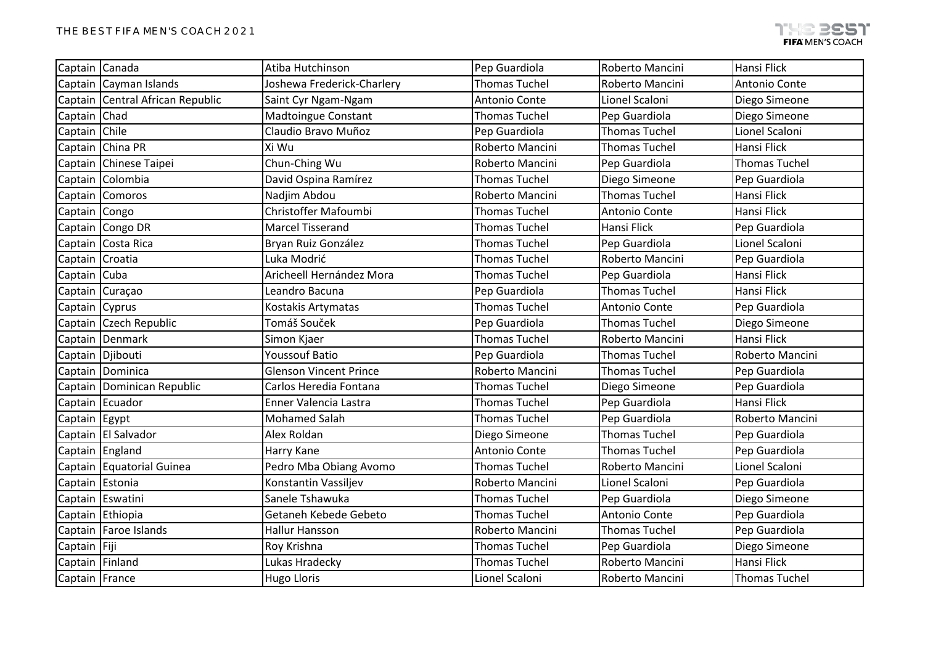| Captain Canada  |                                  | Atiba Hutchinson              | Pep Guardiola        | Roberto Mancini      | Hansi Flick          |
|-----------------|----------------------------------|-------------------------------|----------------------|----------------------|----------------------|
|                 | Captain Cayman Islands           | Joshewa Frederick-Charlery    | <b>Thomas Tuchel</b> | Roberto Mancini      | Antonio Conte        |
|                 | Captain Central African Republic | Saint Cyr Ngam-Ngam           | Antonio Conte        | Lionel Scaloni       | Diego Simeone        |
| Captain Chad    |                                  | <b>Madtoingue Constant</b>    | <b>Thomas Tuchel</b> | Pep Guardiola        | Diego Simeone        |
| Captain Chile   |                                  | Claudio Bravo Muñoz           | Pep Guardiola        | <b>Thomas Tuchel</b> | Lionel Scaloni       |
|                 | Captain China PR                 | Xi Wu                         | Roberto Mancini      | <b>Thomas Tuchel</b> | Hansi Flick          |
|                 | Captain Chinese Taipei           | Chun-Ching Wu                 | Roberto Mancini      | Pep Guardiola        | <b>Thomas Tuchel</b> |
|                 | Captain Colombia                 | David Ospina Ramírez          | <b>Thomas Tuchel</b> | Diego Simeone        | Pep Guardiola        |
|                 | Captain Comoros                  | Nadjim Abdou                  | Roberto Mancini      | <b>Thomas Tuchel</b> | Hansi Flick          |
| Captain Congo   |                                  | Christoffer Mafoumbi          | <b>Thomas Tuchel</b> | Antonio Conte        | Hansi Flick          |
|                 | Captain Congo DR                 | <b>Marcel Tisserand</b>       | <b>Thomas Tuchel</b> | Hansi Flick          | Pep Guardiola        |
|                 | Captain Costa Rica               | Bryan Ruiz González           | <b>Thomas Tuchel</b> | Pep Guardiola        | Lionel Scaloni       |
| Captain Croatia |                                  | Luka Modrić                   | <b>Thomas Tuchel</b> | Roberto Mancini      | Pep Guardiola        |
| Captain Cuba    |                                  | Aricheell Hernández Mora      | <b>Thomas Tuchel</b> | Pep Guardiola        | Hansi Flick          |
|                 | Captain Curaçao                  | Leandro Bacuna                | Pep Guardiola        | <b>Thomas Tuchel</b> | Hansi Flick          |
| Captain Cyprus  |                                  | Kostakis Artymatas            | <b>Thomas Tuchel</b> | Antonio Conte        | Pep Guardiola        |
|                 | Captain Czech Republic           | Tomáš Souček                  | Pep Guardiola        | <b>Thomas Tuchel</b> | Diego Simeone        |
|                 | Captain Denmark                  | Simon Kjaer                   | <b>Thomas Tuchel</b> | Roberto Mancini      | Hansi Flick          |
|                 | Captain Djibouti                 | <b>Youssouf Batio</b>         | Pep Guardiola        | <b>Thomas Tuchel</b> | Roberto Mancini      |
|                 | Captain Dominica                 | <b>Glenson Vincent Prince</b> | Roberto Mancini      | <b>Thomas Tuchel</b> | Pep Guardiola        |
|                 | Captain Dominican Republic       | Carlos Heredia Fontana        | <b>Thomas Tuchel</b> | Diego Simeone        | Pep Guardiola        |
|                 | Captain Ecuador                  | Enner Valencia Lastra         | <b>Thomas Tuchel</b> | Pep Guardiola        | Hansi Flick          |
| Captain Egypt   |                                  | <b>Mohamed Salah</b>          | <b>Thomas Tuchel</b> | Pep Guardiola        | Roberto Mancini      |
|                 | Captain El Salvador              | Alex Roldan                   | Diego Simeone        | <b>Thomas Tuchel</b> | Pep Guardiola        |
|                 | Captain England                  | Harry Kane                    | Antonio Conte        | <b>Thomas Tuchel</b> | Pep Guardiola        |
|                 | Captain Equatorial Guinea        | Pedro Mba Obiang Avomo        | <b>Thomas Tuchel</b> | Roberto Mancini      | Lionel Scaloni       |
| Captain Estonia |                                  | Konstantin Vassiljev          | Roberto Mancini      | Lionel Scaloni       | Pep Guardiola        |
|                 | Captain Eswatini                 | Sanele Tshawuka               | <b>Thomas Tuchel</b> | Pep Guardiola        | Diego Simeone        |
|                 | Captain Ethiopia                 | Getaneh Kebede Gebeto         | <b>Thomas Tuchel</b> | Antonio Conte        | Pep Guardiola        |
|                 | Captain   Faroe Islands          | Hallur Hansson                | Roberto Mancini      | <b>Thomas Tuchel</b> | Pep Guardiola        |
| Captain Fiji    |                                  | Roy Krishna                   | <b>Thomas Tuchel</b> | Pep Guardiola        | Diego Simeone        |
| Captain Finland |                                  | Lukas Hradecky                | <b>Thomas Tuchel</b> | Roberto Mancini      | Hansi Flick          |
| Captain France  |                                  | <b>Hugo Lloris</b>            | Lionel Scaloni       | Roberto Mancini      | <b>Thomas Tuchel</b> |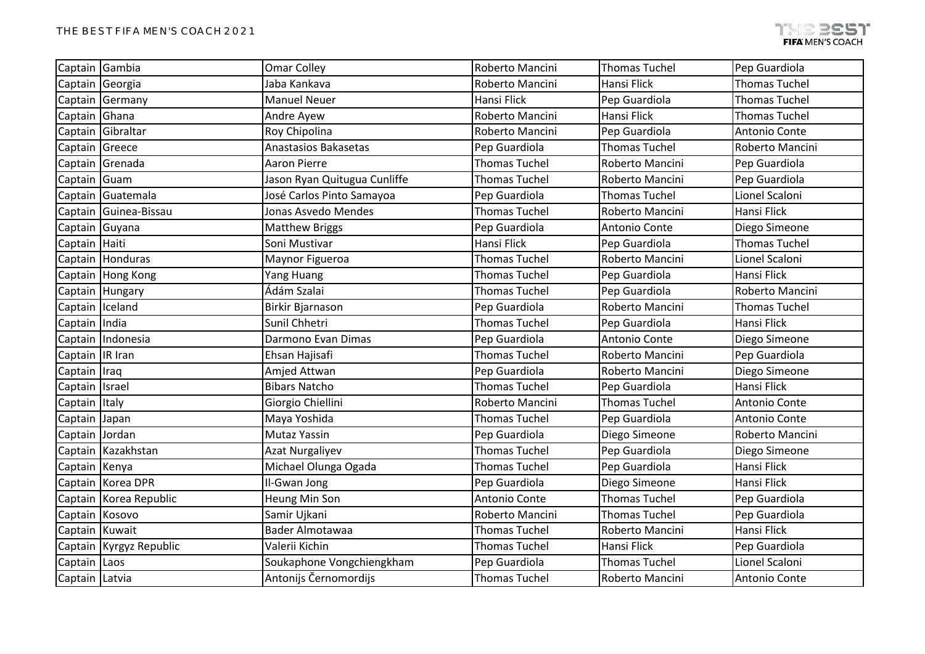| Captain Gambia    |                         | <b>Omar Colley</b>           | Roberto Mancini      | <b>Thomas Tuchel</b> | Pep Guardiola        |
|-------------------|-------------------------|------------------------------|----------------------|----------------------|----------------------|
|                   | Captain Georgia         | Jaba Kankava                 | Roberto Mancini      | Hansi Flick          | <b>Thomas Tuchel</b> |
|                   | Captain Germany         | <b>Manuel Neuer</b>          | Hansi Flick          | Pep Guardiola        | <b>Thomas Tuchel</b> |
| Captain Ghana     |                         | Andre Ayew                   | Roberto Mancini      | <b>Hansi Flick</b>   | <b>Thomas Tuchel</b> |
|                   | Captain Gibraltar       | Roy Chipolina                | Roberto Mancini      | Pep Guardiola        | Antonio Conte        |
| Captain Greece    |                         | <b>Anastasios Bakasetas</b>  | Pep Guardiola        | <b>Thomas Tuchel</b> | Roberto Mancini      |
|                   | Captain Grenada         | <b>Aaron Pierre</b>          | <b>Thomas Tuchel</b> | Roberto Mancini      | Pep Guardiola        |
| Captain Guam      |                         | Jason Ryan Quitugua Cunliffe | <b>Thomas Tuchel</b> | Roberto Mancini      | Pep Guardiola        |
|                   | Captain Guatemala       | José Carlos Pinto Samayoa    | Pep Guardiola        | <b>Thomas Tuchel</b> | Lionel Scaloni       |
|                   | Captain Guinea-Bissau   | Jonas Asvedo Mendes          | <b>Thomas Tuchel</b> | Roberto Mancini      | Hansi Flick          |
| Captain Guyana    |                         | <b>Matthew Briggs</b>        | Pep Guardiola        | Antonio Conte        | Diego Simeone        |
| Captain Haiti     |                         | Soni Mustivar                | Hansi Flick          | Pep Guardiola        | <b>Thomas Tuchel</b> |
|                   | Captain Honduras        | Maynor Figueroa              | <b>Thomas Tuchel</b> | Roberto Mancini      | Lionel Scaloni       |
|                   | Captain Hong Kong       | Yang Huang                   | <b>Thomas Tuchel</b> | Pep Guardiola        | Hansi Flick          |
|                   | Captain Hungary         | Ádám Szalai                  | <b>Thomas Tuchel</b> | Pep Guardiola        | Roberto Mancini      |
| Captain Iceland   |                         | Birkir Bjarnason             | Pep Guardiola        | Roberto Mancini      | <b>Thomas Tuchel</b> |
| Captain India     |                         | Sunil Chhetri                | <b>Thomas Tuchel</b> | Pep Guardiola        | Hansi Flick          |
|                   | Captain Indonesia       | Darmono Evan Dimas           | Pep Guardiola        | Antonio Conte        | Diego Simeone        |
| Captain   IR Iran |                         | Ehsan Hajisafi               | <b>Thomas Tuchel</b> | Roberto Mancini      | Pep Guardiola        |
| Captain Iraq      |                         | Amjed Attwan                 | Pep Guardiola        | Roberto Mancini      | Diego Simeone        |
| Captain           | Israel                  | <b>Bibars Natcho</b>         | <b>Thomas Tuchel</b> | Pep Guardiola        | <b>Hansi Flick</b>   |
| Captain Italy     |                         | Giorgio Chiellini            | Roberto Mancini      | <b>Thomas Tuchel</b> | Antonio Conte        |
| Captain           | Japan                   | Maya Yoshida                 | <b>Thomas Tuchel</b> | Pep Guardiola        | Antonio Conte        |
| Captain Jordan    |                         | Mutaz Yassin                 | Pep Guardiola        | Diego Simeone        | Roberto Mancini      |
|                   | Captain Kazakhstan      | <b>Azat Nurgaliyev</b>       | <b>Thomas Tuchel</b> | Pep Guardiola        | Diego Simeone        |
| Captain Kenya     |                         | Michael Olunga Ogada         | <b>Thomas Tuchel</b> | Pep Guardiola        | Hansi Flick          |
|                   | Captain Korea DPR       | Il-Gwan Jong                 | Pep Guardiola        | Diego Simeone        | Hansi Flick          |
|                   | Captain Korea Republic  | Heung Min Son                | Antonio Conte        | <b>Thomas Tuchel</b> | Pep Guardiola        |
| Captain Kosovo    |                         | Samir Ujkani                 | Roberto Mancini      | <b>Thomas Tuchel</b> | Pep Guardiola        |
| Captain Kuwait    |                         | <b>Bader Almotawaa</b>       | <b>Thomas Tuchel</b> | Roberto Mancini      | Hansi Flick          |
|                   | Captain Kyrgyz Republic | Valerii Kichin               | <b>Thomas Tuchel</b> | <b>Hansi Flick</b>   | Pep Guardiola        |
| Captain Laos      |                         | Soukaphone Vongchiengkham    | Pep Guardiola        | <b>Thomas Tuchel</b> | Lionel Scaloni       |
| Captain Latvia    |                         | Antonijs Černomordijs        | <b>Thomas Tuchel</b> | Roberto Mancini      | Antonio Conte        |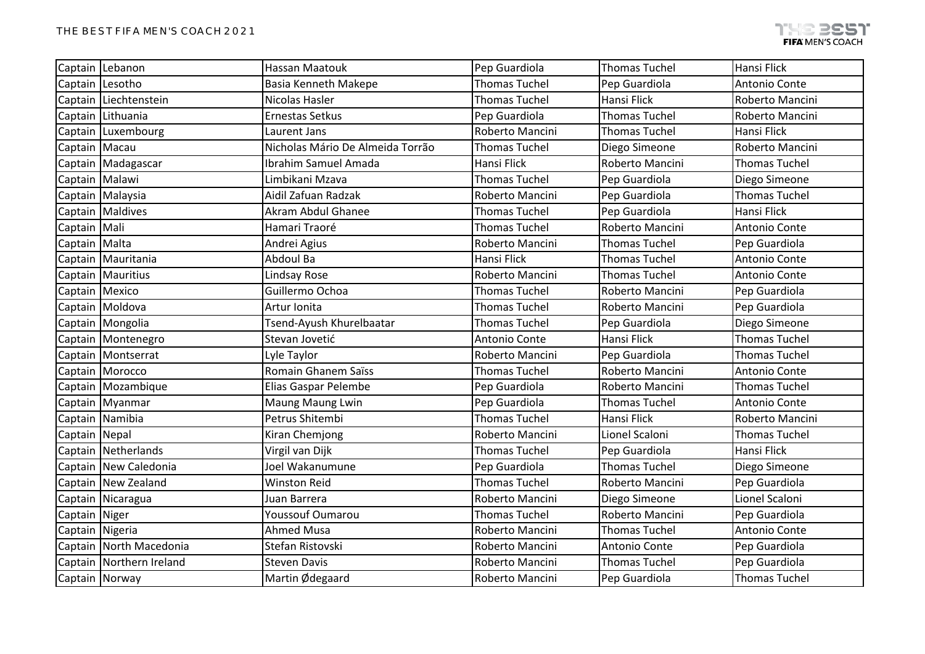|               | Captain Lebanon          | <b>Hassan Maatouk</b>            | Pep Guardiola        | <b>Thomas Tuchel</b> | Hansi Flick          |
|---------------|--------------------------|----------------------------------|----------------------|----------------------|----------------------|
| Captain       | Lesotho                  | <b>Basia Kenneth Makepe</b>      | <b>Thomas Tuchel</b> | Pep Guardiola        | Antonio Conte        |
| Captain       | Liechtenstein            | Nicolas Hasler                   | <b>Thomas Tuchel</b> | Hansi Flick          | Roberto Mancini      |
| Captain       | Lithuania                | <b>Ernestas Setkus</b>           | Pep Guardiola        | <b>Thomas Tuchel</b> | Roberto Mancini      |
| Captain       | Luxembourg               | Laurent Jans                     | Roberto Mancini      | <b>Thomas Tuchel</b> | Hansi Flick          |
| Captain       | Macau                    | Nicholas Mário De Almeida Torrão | <b>Thomas Tuchel</b> | Diego Simeone        | Roberto Mancini      |
|               | Captain Madagascar       | Ibrahim Samuel Amada             | Hansi Flick          | Roberto Mancini      | <b>Thomas Tuchel</b> |
|               | Captain Malawi           | Limbikani Mzava                  | <b>Thomas Tuchel</b> | Pep Guardiola        | Diego Simeone        |
|               | Captain Malaysia         | Aidil Zafuan Radzak              | Roberto Mancini      | Pep Guardiola        | <b>Thomas Tuchel</b> |
|               | Captain Maldives         | Akram Abdul Ghanee               | <b>Thomas Tuchel</b> | Pep Guardiola        | <b>Hansi Flick</b>   |
| Captain Mali  |                          | Hamari Traoré                    | <b>Thomas Tuchel</b> | Roberto Mancini      | Antonio Conte        |
| Captain Malta |                          | Andrei Agius                     | Roberto Mancini      | <b>Thomas Tuchel</b> | Pep Guardiola        |
| Captain       | Mauritania               | Abdoul Ba                        | Hansi Flick          | <b>Thomas Tuchel</b> | Antonio Conte        |
|               | Captain   Mauritius      | Lindsay Rose                     | Roberto Mancini      | <b>Thomas Tuchel</b> | Antonio Conte        |
|               | Captain Mexico           | Guillermo Ochoa                  | <b>Thomas Tuchel</b> | Roberto Mancini      | Pep Guardiola        |
|               | Captain Moldova          | Artur Ionita                     | <b>Thomas Tuchel</b> | Roberto Mancini      | Pep Guardiola        |
|               | Captain Mongolia         | Tsend-Ayush Khurelbaatar         | <b>Thomas Tuchel</b> | Pep Guardiola        | Diego Simeone        |
|               | Captain Montenegro       | Stevan Jovetić                   | Antonio Conte        | Hansi Flick          | <b>Thomas Tuchel</b> |
|               | Captain   Montserrat     | Lyle Taylor                      | Roberto Mancini      | Pep Guardiola        | <b>Thomas Tuchel</b> |
|               | Captain Morocco          | Romain Ghanem Saïss              | <b>Thomas Tuchel</b> | Roberto Mancini      | Antonio Conte        |
|               | Captain Mozambique       | Elias Gaspar Pelembe             | Pep Guardiola        | Roberto Mancini      | <b>Thomas Tuchel</b> |
|               | Captain Myanmar          | Maung Maung Lwin                 | Pep Guardiola        | <b>Thomas Tuchel</b> | Antonio Conte        |
|               | Captain Namibia          | Petrus Shitembi                  | <b>Thomas Tuchel</b> | <b>Hansi Flick</b>   | Roberto Mancini      |
| Captain Nepal |                          | Kiran Chemjong                   | Roberto Mancini      | Lionel Scaloni       | <b>Thomas Tuchel</b> |
|               | Captain Netherlands      | Virgil van Dijk                  | <b>Thomas Tuchel</b> | Pep Guardiola        | Hansi Flick          |
|               | Captain New Caledonia    | Joel Wakanumune                  | Pep Guardiola        | <b>Thomas Tuchel</b> | Diego Simeone        |
| Captain       | New Zealand              | <b>Winston Reid</b>              | <b>Thomas Tuchel</b> | Roberto Mancini      | Pep Guardiola        |
|               | Captain Nicaragua        | Juan Barrera                     | Roberto Mancini      | Diego Simeone        | Lionel Scaloni       |
| Captain Niger |                          | Youssouf Oumarou                 | <b>Thomas Tuchel</b> | Roberto Mancini      | Pep Guardiola        |
|               | Captain Nigeria          | Ahmed Musa                       | Roberto Mancini      | <b>Thomas Tuchel</b> | Antonio Conte        |
|               | Captain North Macedonia  | Stefan Ristovski                 | Roberto Mancini      | Antonio Conte        | Pep Guardiola        |
|               | Captain Northern Ireland | <b>Steven Davis</b>              | Roberto Mancini      | <b>Thomas Tuchel</b> | Pep Guardiola        |
|               | Captain Norway           | Martin Ødegaard                  | Roberto Mancini      | Pep Guardiola        | <b>Thomas Tuchel</b> |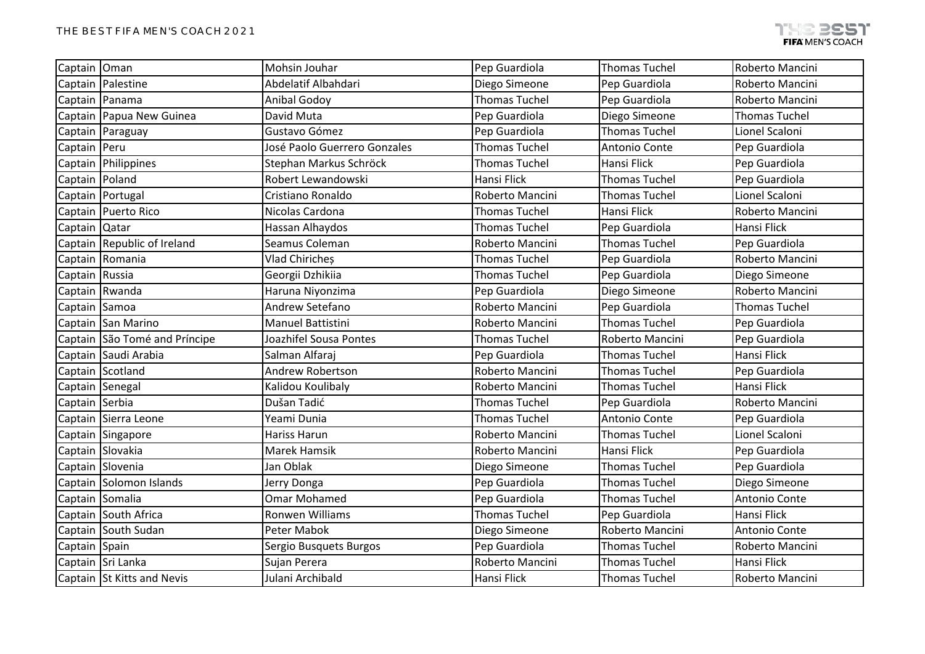| Captain Oman     |                               | Mohsin Jouhar                | Pep Guardiola        | <b>Thomas Tuchel</b> | Roberto Mancini      |
|------------------|-------------------------------|------------------------------|----------------------|----------------------|----------------------|
|                  | Captain   Palestine           | Abdelatif Albahdari          | Diego Simeone        | Pep Guardiola        | Roberto Mancini      |
|                  | Captain   Panama              | <b>Anibal Godoy</b>          | <b>Thomas Tuchel</b> | Pep Guardiola        | Roberto Mancini      |
|                  | Captain Papua New Guinea      | David Muta                   | Pep Guardiola        | Diego Simeone        | <b>Thomas Tuchel</b> |
|                  | Captain Paraguay              | Gustavo Gómez                | Pep Guardiola        | <b>Thomas Tuchel</b> | Lionel Scaloni       |
| Captain   Peru   |                               | José Paolo Guerrero Gonzales | <b>Thomas Tuchel</b> | Antonio Conte        | Pep Guardiola        |
|                  | Captain Philippines           | Stephan Markus Schröck       | <b>Thomas Tuchel</b> | Hansi Flick          | Pep Guardiola        |
| Captain   Poland |                               | Robert Lewandowski           | Hansi Flick          | <b>Thomas Tuchel</b> | Pep Guardiola        |
|                  | Captain Portugal              | Cristiano Ronaldo            | Roberto Mancini      | <b>Thomas Tuchel</b> | Lionel Scaloni       |
|                  | Captain Puerto Rico           | Nicolas Cardona              | <b>Thomas Tuchel</b> | Hansi Flick          | Roberto Mancini      |
| Captain Qatar    |                               | Hassan Alhaydos              | <b>Thomas Tuchel</b> | Pep Guardiola        | Hansi Flick          |
|                  | Captain Republic of Ireland   | Seamus Coleman               | Roberto Mancini      | <b>Thomas Tuchel</b> | Pep Guardiola        |
|                  | Captain Romania               | Vlad Chiricheș               | <b>Thomas Tuchel</b> | Pep Guardiola        | Roberto Mancini      |
| Captain Russia   |                               | Georgii Dzhikiia             | <b>Thomas Tuchel</b> | Pep Guardiola        | Diego Simeone        |
|                  | Captain Rwanda                | Haruna Niyonzima             | Pep Guardiola        | Diego Simeone        | Roberto Mancini      |
| Captain Samoa    |                               | Andrew Setefano              | Roberto Mancini      | Pep Guardiola        | <b>Thomas Tuchel</b> |
|                  | Captain San Marino            | Manuel Battistini            | Roberto Mancini      | <b>Thomas Tuchel</b> | Pep Guardiola        |
|                  | Captain São Tomé and Príncipe | Joazhifel Sousa Pontes       | <b>Thomas Tuchel</b> | Roberto Mancini      | Pep Guardiola        |
|                  | Captain Saudi Arabia          | Salman Alfaraj               | Pep Guardiola        | <b>Thomas Tuchel</b> | Hansi Flick          |
|                  | Captain Scotland              | <b>Andrew Robertson</b>      | Roberto Mancini      | <b>Thomas Tuchel</b> | Pep Guardiola        |
| Captain Senegal  |                               | Kalidou Koulibaly            | Roberto Mancini      | <b>Thomas Tuchel</b> | <b>Hansi Flick</b>   |
| Captain Serbia   |                               | Dušan Tadić                  | <b>Thomas Tuchel</b> | Pep Guardiola        | Roberto Mancini      |
|                  | Captain Sierra Leone          | Yeami Dunia                  | <b>Thomas Tuchel</b> | Antonio Conte        | Pep Guardiola        |
|                  | Captain Singapore             | Hariss Harun                 | Roberto Mancini      | <b>Thomas Tuchel</b> | Lionel Scaloni       |
|                  | Captain Slovakia              | <b>Marek Hamsik</b>          | Roberto Mancini      | <b>Hansi Flick</b>   | Pep Guardiola        |
|                  | Captain Slovenia              | Jan Oblak                    | Diego Simeone        | <b>Thomas Tuchel</b> | Pep Guardiola        |
|                  | Captain Solomon Islands       | Jerry Donga                  | Pep Guardiola        | <b>Thomas Tuchel</b> | Diego Simeone        |
| Captain Somalia  |                               | <b>Omar Mohamed</b>          | Pep Guardiola        | <b>Thomas Tuchel</b> | Antonio Conte        |
|                  | Captain South Africa          | Ronwen Williams              | <b>Thomas Tuchel</b> | Pep Guardiola        | Hansi Flick          |
|                  | Captain South Sudan           | Peter Mabok                  | Diego Simeone        | Roberto Mancini      | Antonio Conte        |
| Captain Spain    |                               | Sergio Busquets Burgos       | Pep Guardiola        | <b>Thomas Tuchel</b> | Roberto Mancini      |
|                  | Captain Sri Lanka             | Sujan Perera                 | Roberto Mancini      | <b>Thomas Tuchel</b> | Hansi Flick          |
|                  | Captain St Kitts and Nevis    | Julani Archibald             | Hansi Flick          | <b>Thomas Tuchel</b> | Roberto Mancini      |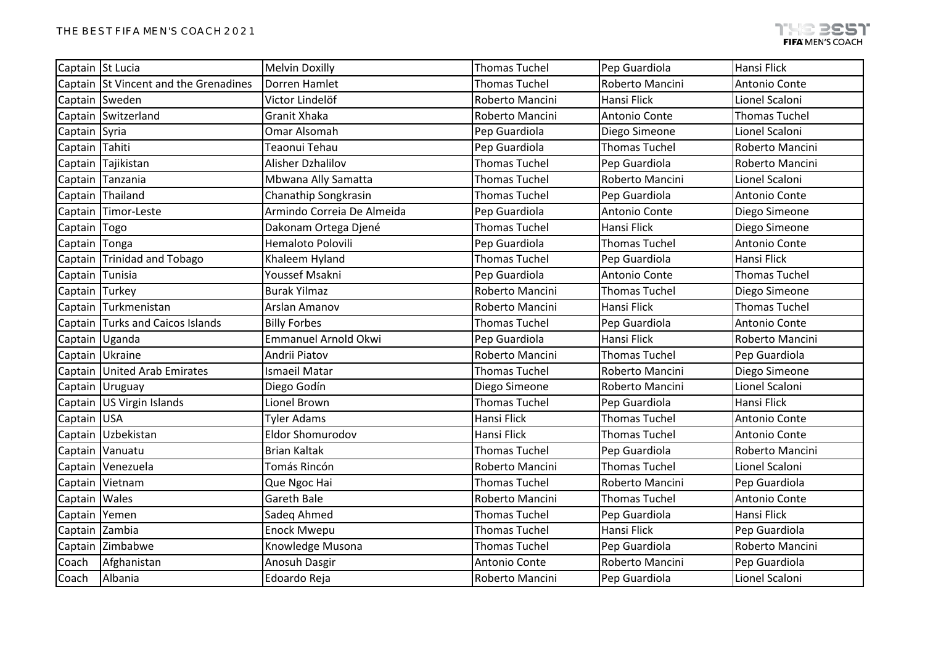| Captain St Lucia |                                       | <b>Melvin Doxilly</b>      | <b>Thomas Tuchel</b> | Pep Guardiola        | Hansi Flick          |
|------------------|---------------------------------------|----------------------------|----------------------|----------------------|----------------------|
|                  | Captain St Vincent and the Grenadines | Dorren Hamlet              | <b>Thomas Tuchel</b> | Roberto Mancini      | Antonio Conte        |
|                  | Captain Sweden                        | Victor Lindelöf            | Roberto Mancini      | Hansi Flick          | Lionel Scaloni       |
|                  | Captain Switzerland                   | <b>Granit Xhaka</b>        | Roberto Mancini      | Antonio Conte        | <b>Thomas Tuchel</b> |
| Captain Syria    |                                       | <b>Omar Alsomah</b>        | Pep Guardiola        | Diego Simeone        | Lionel Scaloni       |
| Captain Tahiti   |                                       | Teaonui Tehau              | Pep Guardiola        | <b>Thomas Tuchel</b> | Roberto Mancini      |
|                  | Captain Tajikistan                    | Alisher Dzhalilov          | <b>Thomas Tuchel</b> | Pep Guardiola        | Roberto Mancini      |
|                  | Captain Tanzania                      | Mbwana Ally Samatta        | <b>Thomas Tuchel</b> | Roberto Mancini      | Lionel Scaloni       |
|                  | Captain Thailand                      | Chanathip Songkrasin       | <b>Thomas Tuchel</b> | Pep Guardiola        | Antonio Conte        |
|                  | Captain Timor-Leste                   | Armindo Correia De Almeida | Pep Guardiola        | <b>Antonio Conte</b> | Diego Simeone        |
| Captain Togo     |                                       | Dakonam Ortega Djené       | <b>Thomas Tuchel</b> | Hansi Flick          | Diego Simeone        |
| Captain Tonga    |                                       | Hemaloto Polovili          | Pep Guardiola        | <b>Thomas Tuchel</b> | Antonio Conte        |
|                  | Captain Trinidad and Tobago           | Khaleem Hyland             | <b>Thomas Tuchel</b> | Pep Guardiola        | <b>Hansi Flick</b>   |
| Captain Tunisia  |                                       | Youssef Msakni             | Pep Guardiola        | Antonio Conte        | <b>Thomas Tuchel</b> |
| Captain Turkey   |                                       | <b>Burak Yilmaz</b>        | Roberto Mancini      | <b>Thomas Tuchel</b> | Diego Simeone        |
|                  | Captain Turkmenistan                  | <b>Arslan Amanov</b>       | Roberto Mancini      | Hansi Flick          | <b>Thomas Tuchel</b> |
|                  | Captain Turks and Caicos Islands      | <b>Billy Forbes</b>        | <b>Thomas Tuchel</b> | Pep Guardiola        | Antonio Conte        |
|                  | Captain Uganda                        | Emmanuel Arnold Okwi       | Pep Guardiola        | Hansi Flick          | Roberto Mancini      |
|                  | Captain Ukraine                       | Andrii Piatov              | Roberto Mancini      | <b>Thomas Tuchel</b> | Pep Guardiola        |
|                  | Captain United Arab Emirates          | Ismaeil Matar              | <b>Thomas Tuchel</b> | Roberto Mancini      | Diego Simeone        |
|                  | Captain Uruguay                       | Diego Godín                | Diego Simeone        | Roberto Mancini      | Lionel Scaloni       |
|                  | Captain US Virgin Islands             | Lionel Brown               | <b>Thomas Tuchel</b> | Pep Guardiola        | Hansi Flick          |
| Captain USA      |                                       | <b>Tyler Adams</b>         | Hansi Flick          | <b>Thomas Tuchel</b> | Antonio Conte        |
|                  | Captain Uzbekistan                    | Eldor Shomurodov           | Hansi Flick          | <b>Thomas Tuchel</b> | Antonio Conte        |
|                  | Captain Vanuatu                       | <b>Brian Kaltak</b>        | <b>Thomas Tuchel</b> | Pep Guardiola        | Roberto Mancini      |
|                  | Captain Venezuela                     | Tomás Rincón               | Roberto Mancini      | <b>Thomas Tuchel</b> | Lionel Scaloni       |
|                  | Captain Vietnam                       | Que Ngoc Hai               | <b>Thomas Tuchel</b> | Roberto Mancini      | Pep Guardiola        |
| Captain Wales    |                                       | Gareth Bale                | Roberto Mancini      | <b>Thomas Tuchel</b> | Antonio Conte        |
| Captain Yemen    |                                       | Sadeq Ahmed                | <b>Thomas Tuchel</b> | Pep Guardiola        | Hansi Flick          |
| Captain Zambia   |                                       | <b>Enock Mwepu</b>         | <b>Thomas Tuchel</b> | <b>Hansi Flick</b>   | Pep Guardiola        |
|                  | Captain Zimbabwe                      | Knowledge Musona           | <b>Thomas Tuchel</b> | Pep Guardiola        | Roberto Mancini      |
| Coach            | Afghanistan                           | Anosuh Dasgir              | Antonio Conte        | Roberto Mancini      | Pep Guardiola        |
| Coach            | Albania                               | Edoardo Reja               | Roberto Mancini      | Pep Guardiola        | Lionel Scaloni       |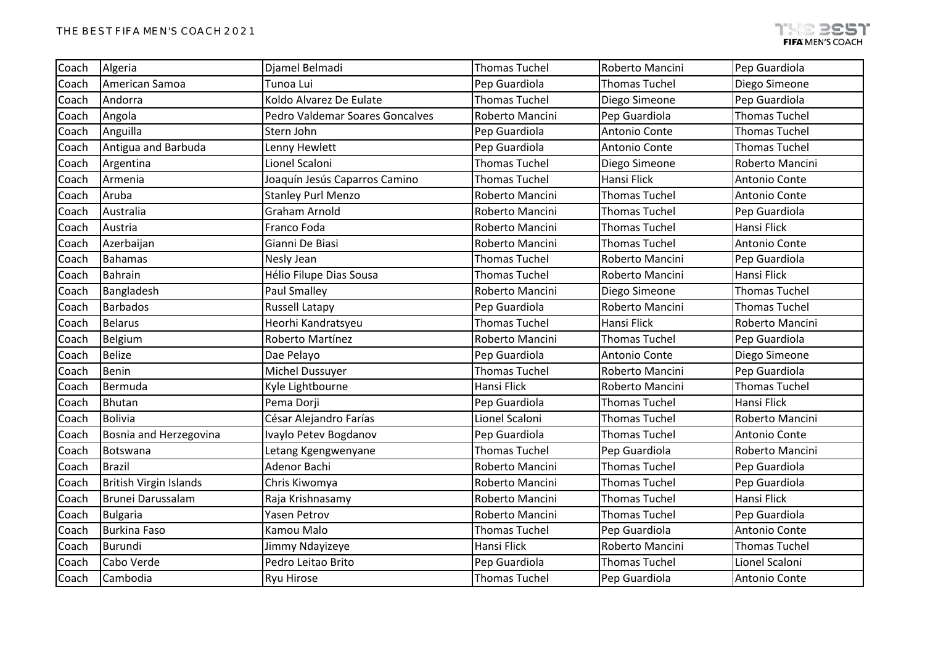| Coach | Algeria                       | Djamel Belmadi                         | <b>Thomas Tuchel</b> | Roberto Mancini      | Pep Guardiola        |
|-------|-------------------------------|----------------------------------------|----------------------|----------------------|----------------------|
| Coach | American Samoa                | Tunoa Lui                              | Pep Guardiola        | <b>Thomas Tuchel</b> | Diego Simeone        |
| Coach | Andorra                       | Koldo Alvarez De Eulate                | <b>Thomas Tuchel</b> | Diego Simeone        | Pep Guardiola        |
| Coach | Angola                        | <b>Pedro Valdemar Soares Goncalves</b> | Roberto Mancini      | Pep Guardiola        | <b>Thomas Tuchel</b> |
| Coach | Anguilla                      | Stern John                             | Pep Guardiola        | Antonio Conte        | <b>Thomas Tuchel</b> |
| Coach | Antigua and Barbuda           | Lenny Hewlett                          | Pep Guardiola        | <b>Antonio Conte</b> | <b>Thomas Tuchel</b> |
| Coach | Argentina                     | Lionel Scaloni                         | <b>Thomas Tuchel</b> | Diego Simeone        | Roberto Mancini      |
| Coach | Armenia                       | Joaquín Jesús Caparros Camino          | <b>Thomas Tuchel</b> | Hansi Flick          | Antonio Conte        |
| Coach | Aruba                         | <b>Stanley Purl Menzo</b>              | Roberto Mancini      | <b>Thomas Tuchel</b> | Antonio Conte        |
| Coach | Australia                     | <b>Graham Arnold</b>                   | Roberto Mancini      | <b>Thomas Tuchel</b> | Pep Guardiola        |
| Coach | Austria                       | Franco Foda                            | Roberto Mancini      | <b>Thomas Tuchel</b> | Hansi Flick          |
| Coach | Azerbaijan                    | Gianni De Biasi                        | Roberto Mancini      | <b>Thomas Tuchel</b> | Antonio Conte        |
| Coach | <b>Bahamas</b>                | Nesly Jean                             | <b>Thomas Tuchel</b> | Roberto Mancini      | Pep Guardiola        |
| Coach | <b>Bahrain</b>                | Hélio Filupe Dias Sousa                | <b>Thomas Tuchel</b> | Roberto Mancini      | Hansi Flick          |
| Coach | Bangladesh                    | <b>Paul Smalley</b>                    | Roberto Mancini      | Diego Simeone        | <b>Thomas Tuchel</b> |
| Coach | <b>Barbados</b>               | <b>Russell Latapy</b>                  | Pep Guardiola        | Roberto Mancini      | <b>Thomas Tuchel</b> |
| Coach | <b>Belarus</b>                | Heorhi Kandratsyeu                     | <b>Thomas Tuchel</b> | Hansi Flick          | Roberto Mancini      |
| Coach | Belgium                       | Roberto Martínez                       | Roberto Mancini      | <b>Thomas Tuchel</b> | Pep Guardiola        |
| Coach | <b>Belize</b>                 | Dae Pelayo                             | Pep Guardiola        | Antonio Conte        | Diego Simeone        |
| Coach | Benin                         | Michel Dussuyer                        | <b>Thomas Tuchel</b> | Roberto Mancini      | Pep Guardiola        |
| Coach | Bermuda                       | Kyle Lightbourne                       | Hansi Flick          | Roberto Mancini      | <b>Thomas Tuchel</b> |
| Coach | <b>Bhutan</b>                 | Pema Dorji                             | Pep Guardiola        | <b>Thomas Tuchel</b> | Hansi Flick          |
| Coach | <b>Bolivia</b>                | César Alejandro Farías                 | Lionel Scaloni       | <b>Thomas Tuchel</b> | Roberto Mancini      |
| Coach | Bosnia and Herzegovina        | Ivaylo Petev Bogdanov                  | Pep Guardiola        | <b>Thomas Tuchel</b> | Antonio Conte        |
| Coach | Botswana                      | Letang Kgengwenyane                    | <b>Thomas Tuchel</b> | Pep Guardiola        | Roberto Mancini      |
| Coach | <b>Brazil</b>                 | Adenor Bachi                           | Roberto Mancini      | <b>Thomas Tuchel</b> | Pep Guardiola        |
| Coach | <b>British Virgin Islands</b> | Chris Kiwomya                          | Roberto Mancini      | <b>Thomas Tuchel</b> | Pep Guardiola        |
| Coach | Brunei Darussalam             | Raja Krishnasamy                       | Roberto Mancini      | <b>Thomas Tuchel</b> | Hansi Flick          |
| Coach | <b>Bulgaria</b>               | Yasen Petrov                           | Roberto Mancini      | <b>Thomas Tuchel</b> | Pep Guardiola        |
| Coach | <b>Burkina Faso</b>           | Kamou Malo                             | <b>Thomas Tuchel</b> | Pep Guardiola        | Antonio Conte        |
| Coach | <b>Burundi</b>                | Jimmy Ndayizeye                        | Hansi Flick          | Roberto Mancini      | <b>Thomas Tuchel</b> |
| Coach | Cabo Verde                    | Pedro Leitao Brito                     | Pep Guardiola        | <b>Thomas Tuchel</b> | Lionel Scaloni       |
| Coach | Cambodia                      | Ryu Hirose                             | <b>Thomas Tuchel</b> | Pep Guardiola        | Antonio Conte        |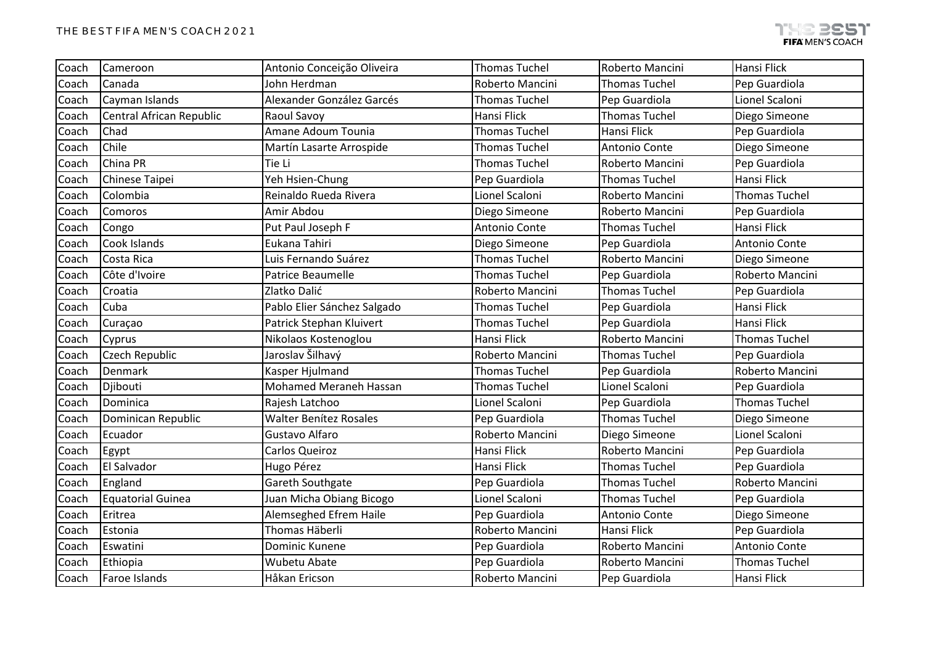| Coach | Cameroon                 | Antonio Conceição Oliveira    | <b>Thomas Tuchel</b> | Roberto Mancini      | Hansi Flick          |
|-------|--------------------------|-------------------------------|----------------------|----------------------|----------------------|
| Coach | Canada                   | John Herdman                  | Roberto Mancini      | <b>Thomas Tuchel</b> | Pep Guardiola        |
| Coach | Cayman Islands           | Alexander González Garcés     | <b>Thomas Tuchel</b> | Pep Guardiola        | Lionel Scaloni       |
| Coach | Central African Republic | Raoul Savoy                   | Hansi Flick          | <b>Thomas Tuchel</b> | Diego Simeone        |
| Coach | Chad                     | Amane Adoum Tounia            | <b>Thomas Tuchel</b> | <b>Hansi Flick</b>   | Pep Guardiola        |
| Coach | Chile                    | Martín Lasarte Arrospide      | <b>Thomas Tuchel</b> | <b>Antonio Conte</b> | Diego Simeone        |
| Coach | China PR                 | Tie Li                        | <b>Thomas Tuchel</b> | Roberto Mancini      | Pep Guardiola        |
| Coach | Chinese Taipei           | Yeh Hsien-Chung               | Pep Guardiola        | <b>Thomas Tuchel</b> | Hansi Flick          |
| Coach | Colombia                 | Reinaldo Rueda Rivera         | Lionel Scaloni       | Roberto Mancini      | <b>Thomas Tuchel</b> |
| Coach | Comoros                  | Amir Abdou                    | Diego Simeone        | Roberto Mancini      | Pep Guardiola        |
| Coach | Congo                    | Put Paul Joseph F             | Antonio Conte        | <b>Thomas Tuchel</b> | <b>Hansi Flick</b>   |
| Coach | Cook Islands             | Eukana Tahiri                 | Diego Simeone        | Pep Guardiola        | Antonio Conte        |
| Coach | Costa Rica               | Luis Fernando Suárez          | <b>Thomas Tuchel</b> | Roberto Mancini      | Diego Simeone        |
| Coach | Côte d'Ivoire            | Patrice Beaumelle             | <b>Thomas Tuchel</b> | Pep Guardiola        | Roberto Mancini      |
| Coach | Croatia                  | Zlatko Dalić                  | Roberto Mancini      | <b>Thomas Tuchel</b> | Pep Guardiola        |
| Coach | Cuba                     | Pablo Elier Sánchez Salgado   | <b>Thomas Tuchel</b> | Pep Guardiola        | Hansi Flick          |
| Coach | Curaçao                  | Patrick Stephan Kluivert      | <b>Thomas Tuchel</b> | Pep Guardiola        | Hansi Flick          |
| Coach | Cyprus                   | Nikolaos Kostenoglou          | Hansi Flick          | Roberto Mancini      | <b>Thomas Tuchel</b> |
| Coach | Czech Republic           | Jaroslav Šilhavý              | Roberto Mancini      | <b>Thomas Tuchel</b> | Pep Guardiola        |
| Coach | Denmark                  | Kasper Hjulmand               | <b>Thomas Tuchel</b> | Pep Guardiola        | Roberto Mancini      |
| Coach | Djibouti                 | <b>Mohamed Meraneh Hassan</b> | <b>Thomas Tuchel</b> | Lionel Scaloni       | Pep Guardiola        |
| Coach | Dominica                 | Rajesh Latchoo                | Lionel Scaloni       | Pep Guardiola        | <b>Thomas Tuchel</b> |
| Coach | Dominican Republic       | <b>Walter Benítez Rosales</b> | Pep Guardiola        | <b>Thomas Tuchel</b> | Diego Simeone        |
| Coach | Ecuador                  | Gustavo Alfaro                | Roberto Mancini      | Diego Simeone        | Lionel Scaloni       |
| Coach | Egypt                    | Carlos Queiroz                | Hansi Flick          | Roberto Mancini      | Pep Guardiola        |
| Coach | <b>El Salvador</b>       | Hugo Pérez                    | Hansi Flick          | <b>Thomas Tuchel</b> | Pep Guardiola        |
| Coach | England                  | Gareth Southgate              | Pep Guardiola        | <b>Thomas Tuchel</b> | Roberto Mancini      |
| Coach | <b>Equatorial Guinea</b> | Juan Micha Obiang Bicogo      | Lionel Scaloni       | <b>Thomas Tuchel</b> | Pep Guardiola        |
| Coach | Eritrea                  | Alemseghed Efrem Haile        | Pep Guardiola        | Antonio Conte        | Diego Simeone        |
| Coach | Estonia                  | Thomas Häberli                | Roberto Mancini      | Hansi Flick          | Pep Guardiola        |
| Coach | Eswatini                 | Dominic Kunene                | Pep Guardiola        | Roberto Mancini      | Antonio Conte        |
| Coach | Ethiopia                 | Wubetu Abate                  | Pep Guardiola        | Roberto Mancini      | <b>Thomas Tuchel</b> |
| Coach | Faroe Islands            | Håkan Ericson                 | Roberto Mancini      | Pep Guardiola        | Hansi Flick          |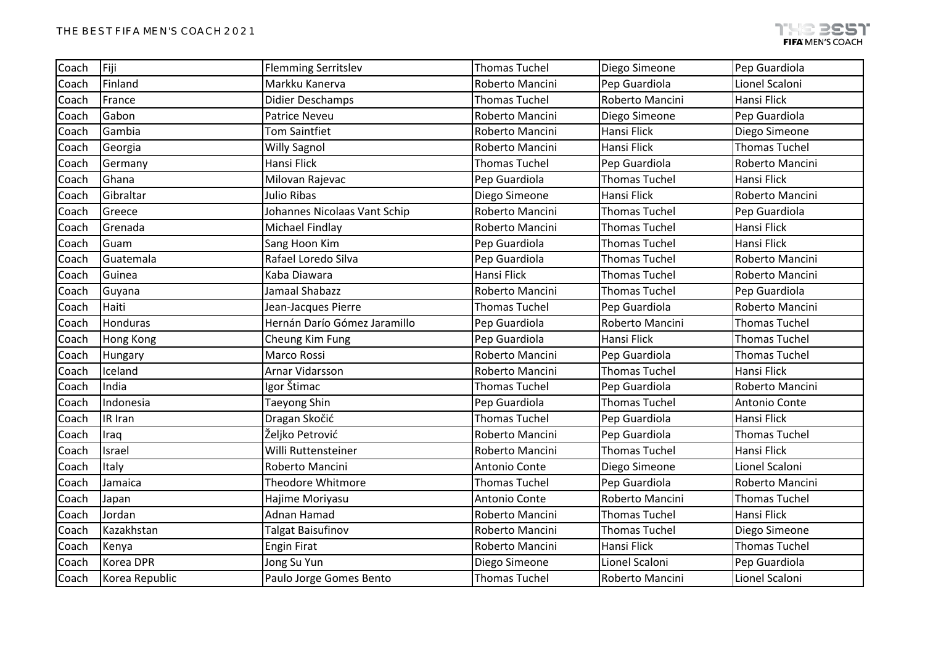| Coach | Fiji             | <b>Flemming Serritslev</b>   | <b>Thomas Tuchel</b> | Diego Simeone        | Pep Guardiola        |
|-------|------------------|------------------------------|----------------------|----------------------|----------------------|
| Coach | Finland          | Markku Kanerva               | Roberto Mancini      | Pep Guardiola        | Lionel Scaloni       |
| Coach | France           | Didier Deschamps             | <b>Thomas Tuchel</b> | Roberto Mancini      | Hansi Flick          |
| Coach | Gabon            | <b>Patrice Neveu</b>         | Roberto Mancini      | Diego Simeone        | Pep Guardiola        |
| Coach | Gambia           | <b>Tom Saintfiet</b>         | Roberto Mancini      | Hansi Flick          | Diego Simeone        |
| Coach | Georgia          | <b>Willy Sagnol</b>          | Roberto Mancini      | Hansi Flick          | <b>Thomas Tuchel</b> |
| Coach | Germany          | <b>Hansi Flick</b>           | <b>Thomas Tuchel</b> | Pep Guardiola        | Roberto Mancini      |
| Coach | Ghana            | Milovan Rajevac              | Pep Guardiola        | <b>Thomas Tuchel</b> | Hansi Flick          |
| Coach | Gibraltar        | <b>Julio Ribas</b>           | Diego Simeone        | <b>Hansi Flick</b>   | Roberto Mancini      |
| Coach | Greece           | Johannes Nicolaas Vant Schip | Roberto Mancini      | <b>Thomas Tuchel</b> | Pep Guardiola        |
| Coach | Grenada          | Michael Findlay              | Roberto Mancini      | <b>Thomas Tuchel</b> | Hansi Flick          |
| Coach | Guam             | Sang Hoon Kim                | Pep Guardiola        | <b>Thomas Tuchel</b> | Hansi Flick          |
| Coach | Guatemala        | Rafael Loredo Silva          | Pep Guardiola        | <b>Thomas Tuchel</b> | Roberto Mancini      |
| Coach | Guinea           | Kaba Diawara                 | Hansi Flick          | <b>Thomas Tuchel</b> | Roberto Mancini      |
| Coach | Guyana           | Jamaal Shabazz               | Roberto Mancini      | <b>Thomas Tuchel</b> | Pep Guardiola        |
| Coach | Haiti            | Jean-Jacques Pierre          | <b>Thomas Tuchel</b> | Pep Guardiola        | Roberto Mancini      |
| Coach | Honduras         | Hernán Darío Gómez Jaramillo | Pep Guardiola        | Roberto Mancini      | <b>Thomas Tuchel</b> |
| Coach | <b>Hong Kong</b> | Cheung Kim Fung              | Pep Guardiola        | Hansi Flick          | <b>Thomas Tuchel</b> |
| Coach | Hungary          | <b>Marco Rossi</b>           | Roberto Mancini      | Pep Guardiola        | <b>Thomas Tuchel</b> |
| Coach | Iceland          | Arnar Vidarsson              | Roberto Mancini      | <b>Thomas Tuchel</b> | Hansi Flick          |
| Coach | India            | Igor Štimac                  | <b>Thomas Tuchel</b> | Pep Guardiola        | Roberto Mancini      |
| Coach | Indonesia        | <b>Taeyong Shin</b>          | Pep Guardiola        | <b>Thomas Tuchel</b> | Antonio Conte        |
| Coach | IR Iran          | Dragan Skočić                | <b>Thomas Tuchel</b> | Pep Guardiola        | Hansi Flick          |
| Coach | Iraq             | Željko Petrović              | Roberto Mancini      | Pep Guardiola        | <b>Thomas Tuchel</b> |
| Coach | Israel           | Willi Ruttensteiner          | Roberto Mancini      | <b>Thomas Tuchel</b> | Hansi Flick          |
| Coach | Italy            | Roberto Mancini              | Antonio Conte        | Diego Simeone        | Lionel Scaloni       |
| Coach | Jamaica          | <b>Theodore Whitmore</b>     | <b>Thomas Tuchel</b> | Pep Guardiola        | Roberto Mancini      |
| Coach | Japan            | Hajime Moriyasu              | Antonio Conte        | Roberto Mancini      | <b>Thomas Tuchel</b> |
| Coach | Jordan           | Adnan Hamad                  | Roberto Mancini      | <b>Thomas Tuchel</b> | Hansi Flick          |
| Coach | Kazakhstan       | <b>Talgat Baisufinov</b>     | Roberto Mancini      | <b>Thomas Tuchel</b> | Diego Simeone        |
| Coach | Kenya            | <b>Engin Firat</b>           | Roberto Mancini      | <b>Hansi Flick</b>   | <b>Thomas Tuchel</b> |
| Coach | Korea DPR        | Jong Su Yun                  | Diego Simeone        | Lionel Scaloni       | Pep Guardiola        |
| Coach | Korea Republic   | Paulo Jorge Gomes Bento      | <b>Thomas Tuchel</b> | Roberto Mancini      | Lionel Scaloni       |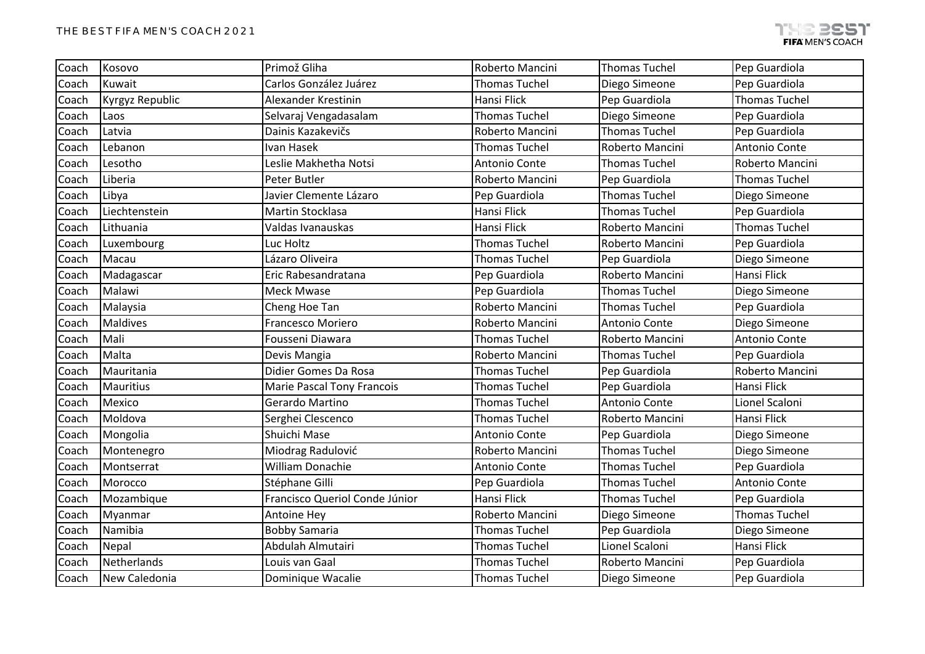| Coach | Kosovo          | Primož Gliha                      | Roberto Mancini      | <b>Thomas Tuchel</b> | Pep Guardiola        |
|-------|-----------------|-----------------------------------|----------------------|----------------------|----------------------|
| Coach | Kuwait          | Carlos González Juárez            | <b>Thomas Tuchel</b> | Diego Simeone        | Pep Guardiola        |
| Coach | Kyrgyz Republic | Alexander Krestinin               | Hansi Flick          | Pep Guardiola        | <b>Thomas Tuchel</b> |
| Coach | Laos            | Selvaraj Vengadasalam             | <b>Thomas Tuchel</b> | Diego Simeone        | Pep Guardiola        |
| Coach | Latvia          | Dainis Kazakevičs                 | Roberto Mancini      | <b>Thomas Tuchel</b> | Pep Guardiola        |
| Coach | Lebanon         | Ivan Hasek                        | <b>Thomas Tuchel</b> | Roberto Mancini      | Antonio Conte        |
| Coach | Lesotho         | Leslie Makhetha Notsi             | Antonio Conte        | <b>Thomas Tuchel</b> | Roberto Mancini      |
| Coach | Liberia         | Peter Butler                      | Roberto Mancini      | Pep Guardiola        | <b>Thomas Tuchel</b> |
| Coach | Libya           | Javier Clemente Lázaro            | Pep Guardiola        | <b>Thomas Tuchel</b> | Diego Simeone        |
| Coach | Liechtenstein   | Martin Stocklasa                  | Hansi Flick          | <b>Thomas Tuchel</b> | Pep Guardiola        |
| Coach | Lithuania       | Valdas Ivanauskas                 | Hansi Flick          | Roberto Mancini      | <b>Thomas Tuchel</b> |
| Coach | Luxembourg      | Luc Holtz                         | <b>Thomas Tuchel</b> | Roberto Mancini      | Pep Guardiola        |
| Coach | Macau           | Lázaro Oliveira                   | <b>Thomas Tuchel</b> | Pep Guardiola        | Diego Simeone        |
| Coach | Madagascar      | Eric Rabesandratana               | Pep Guardiola        | Roberto Mancini      | Hansi Flick          |
| Coach | Malawi          | <b>Meck Mwase</b>                 | Pep Guardiola        | <b>Thomas Tuchel</b> | Diego Simeone        |
| Coach | Malaysia        | Cheng Hoe Tan                     | Roberto Mancini      | <b>Thomas Tuchel</b> | Pep Guardiola        |
| Coach | <b>Maldives</b> | Francesco Moriero                 | Roberto Mancini      | Antonio Conte        | Diego Simeone        |
| Coach | Mali            | Fousseni Diawara                  | <b>Thomas Tuchel</b> | Roberto Mancini      | Antonio Conte        |
| Coach | Malta           | Devis Mangia                      | Roberto Mancini      | <b>Thomas Tuchel</b> | Pep Guardiola        |
| Coach | Mauritania      | Didier Gomes Da Rosa              | <b>Thomas Tuchel</b> | Pep Guardiola        | Roberto Mancini      |
| Coach | Mauritius       | <b>Marie Pascal Tony Francois</b> | <b>Thomas Tuchel</b> | Pep Guardiola        | Hansi Flick          |
| Coach | Mexico          | Gerardo Martino                   | <b>Thomas Tuchel</b> | Antonio Conte        | Lionel Scaloni       |
| Coach | Moldova         | Serghei Clescenco                 | <b>Thomas Tuchel</b> | Roberto Mancini      | Hansi Flick          |
| Coach | Mongolia        | Shuichi Mase                      | Antonio Conte        | Pep Guardiola        | Diego Simeone        |
| Coach | Montenegro      | Miodrag Radulović                 | Roberto Mancini      | <b>Thomas Tuchel</b> | Diego Simeone        |
| Coach | Montserrat      | <b>William Donachie</b>           | Antonio Conte        | <b>Thomas Tuchel</b> | Pep Guardiola        |
| Coach | Morocco         | Stéphane Gilli                    | Pep Guardiola        | <b>Thomas Tuchel</b> | Antonio Conte        |
| Coach | Mozambique      | Francisco Queriol Conde Júnior    | Hansi Flick          | <b>Thomas Tuchel</b> | Pep Guardiola        |
| Coach | Myanmar         | Antoine Hey                       | Roberto Mancini      | Diego Simeone        | <b>Thomas Tuchel</b> |
| Coach | Namibia         | <b>Bobby Samaria</b>              | <b>Thomas Tuchel</b> | Pep Guardiola        | Diego Simeone        |
| Coach | Nepal           | Abdulah Almutairi                 | <b>Thomas Tuchel</b> | Lionel Scaloni       | Hansi Flick          |
| Coach | Netherlands     | Louis van Gaal                    | <b>Thomas Tuchel</b> | Roberto Mancini      | Pep Guardiola        |
| Coach | New Caledonia   | Dominique Wacalie                 | <b>Thomas Tuchel</b> | Diego Simeone        | Pep Guardiola        |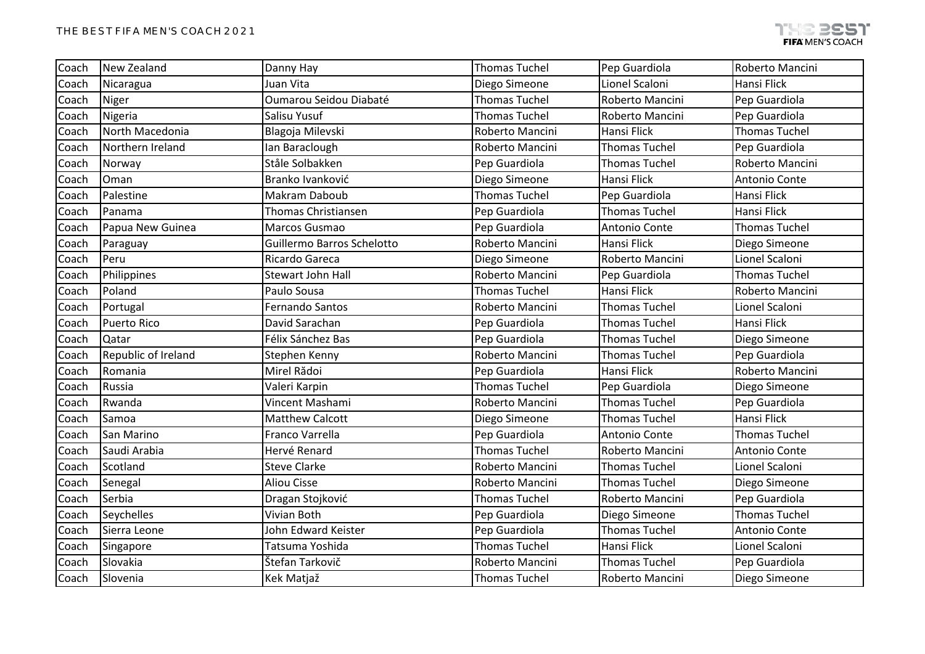| Coach | New Zealand         | Danny Hay                  | <b>Thomas Tuchel</b> | Pep Guardiola        | Roberto Mancini      |
|-------|---------------------|----------------------------|----------------------|----------------------|----------------------|
| Coach | Nicaragua           | Juan Vita                  | Diego Simeone        | Lionel Scaloni       | Hansi Flick          |
| Coach | Niger               | Oumarou Seidou Diabaté     | <b>Thomas Tuchel</b> | Roberto Mancini      | Pep Guardiola        |
| Coach | Nigeria             | Salisu Yusuf               | <b>Thomas Tuchel</b> | Roberto Mancini      | Pep Guardiola        |
| Coach | North Macedonia     | Blagoja Milevski           | Roberto Mancini      | Hansi Flick          | <b>Thomas Tuchel</b> |
| Coach | Northern Ireland    | Ian Baraclough             | Roberto Mancini      | <b>Thomas Tuchel</b> | Pep Guardiola        |
| Coach | Norway              | Ståle Solbakken            | Pep Guardiola        | <b>Thomas Tuchel</b> | Roberto Mancini      |
| Coach | Oman                | Branko Ivanković           | Diego Simeone        | Hansi Flick          | Antonio Conte        |
| Coach | Palestine           | Makram Daboub              | <b>Thomas Tuchel</b> | Pep Guardiola        | Hansi Flick          |
| Coach | Panama              | <b>Thomas Christiansen</b> | Pep Guardiola        | <b>Thomas Tuchel</b> | Hansi Flick          |
| Coach | Papua New Guinea    | Marcos Gusmao              | Pep Guardiola        | Antonio Conte        | <b>Thomas Tuchel</b> |
| Coach | Paraguay            | Guillermo Barros Schelotto | Roberto Mancini      | Hansi Flick          | Diego Simeone        |
| Coach | Peru                | Ricardo Gareca             | Diego Simeone        | Roberto Mancini      | Lionel Scaloni       |
| Coach | Philippines         | Stewart John Hall          | Roberto Mancini      | Pep Guardiola        | <b>Thomas Tuchel</b> |
| Coach | Poland              | Paulo Sousa                | <b>Thomas Tuchel</b> | Hansi Flick          | Roberto Mancini      |
| Coach | Portugal            | Fernando Santos            | Roberto Mancini      | <b>Thomas Tuchel</b> | Lionel Scaloni       |
| Coach | <b>Puerto Rico</b>  | David Sarachan             | Pep Guardiola        | <b>Thomas Tuchel</b> | Hansi Flick          |
| Coach | Qatar               | Félix Sánchez Bas          | Pep Guardiola        | <b>Thomas Tuchel</b> | Diego Simeone        |
| Coach | Republic of Ireland | Stephen Kenny              | Roberto Mancini      | <b>Thomas Tuchel</b> | Pep Guardiola        |
| Coach | Romania             | Mirel Rădoi                | Pep Guardiola        | Hansi Flick          | Roberto Mancini      |
| Coach | Russia              | Valeri Karpin              | <b>Thomas Tuchel</b> | Pep Guardiola        | Diego Simeone        |
| Coach | Rwanda              | Vincent Mashami            | Roberto Mancini      | <b>Thomas Tuchel</b> | Pep Guardiola        |
| Coach | Samoa               | <b>Matthew Calcott</b>     | Diego Simeone        | <b>Thomas Tuchel</b> | <b>Hansi Flick</b>   |
| Coach | San Marino          | Franco Varrella            | Pep Guardiola        | Antonio Conte        | <b>Thomas Tuchel</b> |
| Coach | Saudi Arabia        | Hervé Renard               | <b>Thomas Tuchel</b> | Roberto Mancini      | Antonio Conte        |
| Coach | Scotland            | <b>Steve Clarke</b>        | Roberto Mancini      | <b>Thomas Tuchel</b> | Lionel Scaloni       |
| Coach | Senegal             | <b>Aliou Cisse</b>         | Roberto Mancini      | <b>Thomas Tuchel</b> | Diego Simeone        |
| Coach | Serbia              | Dragan Stojković           | <b>Thomas Tuchel</b> | Roberto Mancini      | Pep Guardiola        |
| Coach | Seychelles          | Vivian Both                | Pep Guardiola        | Diego Simeone        | <b>Thomas Tuchel</b> |
| Coach | Sierra Leone        | John Edward Keister        | Pep Guardiola        | <b>Thomas Tuchel</b> | Antonio Conte        |
| Coach | Singapore           | Tatsuma Yoshida            | <b>Thomas Tuchel</b> | <b>Hansi Flick</b>   | Lionel Scaloni       |
| Coach | Slovakia            | Štefan Tarkovič            | Roberto Mancini      | <b>Thomas Tuchel</b> | Pep Guardiola        |
| Coach | Slovenia            | Kek Matjaž                 | <b>Thomas Tuchel</b> | Roberto Mancini      | Diego Simeone        |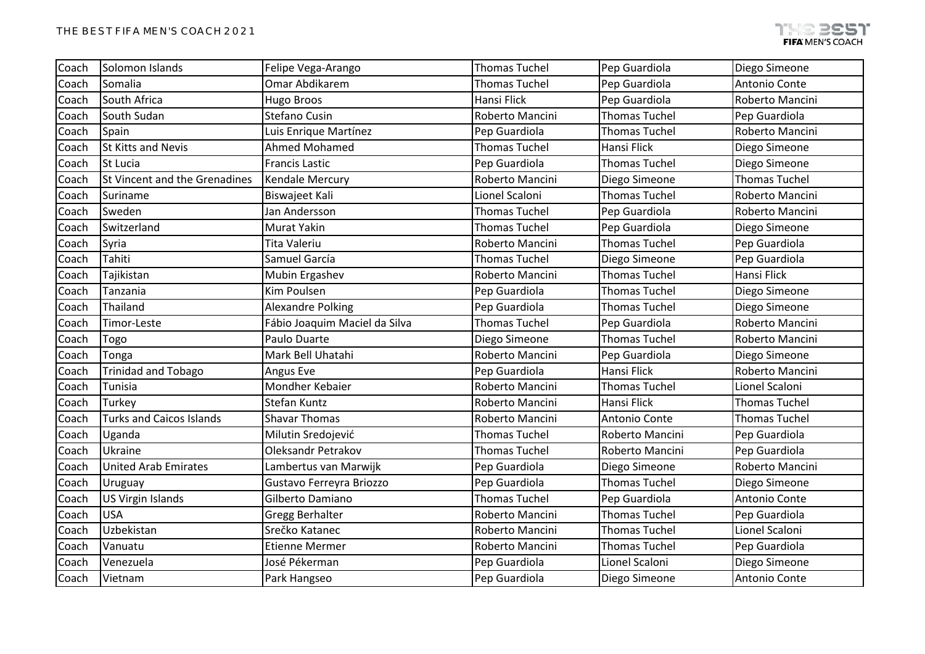| Coach | Solomon Islands                 | Felipe Vega-Arango            | <b>Thomas Tuchel</b> | Pep Guardiola        | Diego Simeone        |
|-------|---------------------------------|-------------------------------|----------------------|----------------------|----------------------|
| Coach | Somalia                         | Omar Abdikarem                | <b>Thomas Tuchel</b> | Pep Guardiola        | Antonio Conte        |
| Coach | South Africa                    | Hugo Broos                    | Hansi Flick          | Pep Guardiola        | Roberto Mancini      |
| Coach | South Sudan                     | <b>Stefano Cusin</b>          | Roberto Mancini      | <b>Thomas Tuchel</b> | Pep Guardiola        |
| Coach | Spain                           | Luis Enrique Martínez         | Pep Guardiola        | <b>Thomas Tuchel</b> | Roberto Mancini      |
| Coach | <b>St Kitts and Nevis</b>       | Ahmed Mohamed                 | <b>Thomas Tuchel</b> | Hansi Flick          | Diego Simeone        |
| Coach | St Lucia                        | <b>Francis Lastic</b>         | Pep Guardiola        | <b>Thomas Tuchel</b> | Diego Simeone        |
| Coach | St Vincent and the Grenadines   | Kendale Mercury               | Roberto Mancini      | Diego Simeone        | <b>Thomas Tuchel</b> |
| Coach | Suriname                        | Biswajeet Kali                | Lionel Scaloni       | <b>Thomas Tuchel</b> | Roberto Mancini      |
| Coach | Sweden                          | Jan Andersson                 | <b>Thomas Tuchel</b> | Pep Guardiola        | Roberto Mancini      |
| Coach | Switzerland                     | Murat Yakin                   | Thomas Tuchel        | Pep Guardiola        | Diego Simeone        |
| Coach | Syria                           | <b>Tita Valeriu</b>           | Roberto Mancini      | <b>Thomas Tuchel</b> | Pep Guardiola        |
| Coach | Tahiti                          | Samuel García                 | <b>Thomas Tuchel</b> | Diego Simeone        | Pep Guardiola        |
| Coach | Tajikistan                      | Mubin Ergashev                | Roberto Mancini      | <b>Thomas Tuchel</b> | Hansi Flick          |
| Coach | Tanzania                        | Kim Poulsen                   | Pep Guardiola        | <b>Thomas Tuchel</b> | Diego Simeone        |
| Coach | Thailand                        | <b>Alexandre Polking</b>      | Pep Guardiola        | <b>Thomas Tuchel</b> | Diego Simeone        |
| Coach | Timor-Leste                     | Fábio Joaquim Maciel da Silva | <b>Thomas Tuchel</b> | Pep Guardiola        | Roberto Mancini      |
| Coach | Togo                            | Paulo Duarte                  | Diego Simeone        | <b>Thomas Tuchel</b> | Roberto Mancini      |
| Coach | Tonga                           | Mark Bell Uhatahi             | Roberto Mancini      | Pep Guardiola        | Diego Simeone        |
| Coach | <b>Trinidad and Tobago</b>      | Angus Eve                     | Pep Guardiola        | Hansi Flick          | Roberto Mancini      |
| Coach | Tunisia                         | Mondher Kebaier               | Roberto Mancini      | <b>Thomas Tuchel</b> | Lionel Scaloni       |
| Coach | Turkey                          | Stefan Kuntz                  | Roberto Mancini      | Hansi Flick          | <b>Thomas Tuchel</b> |
| Coach | <b>Turks and Caicos Islands</b> | <b>Shavar Thomas</b>          | Roberto Mancini      | Antonio Conte        | <b>Thomas Tuchel</b> |
| Coach | Uganda                          | Milutin Sredojević            | <b>Thomas Tuchel</b> | Roberto Mancini      | Pep Guardiola        |
| Coach | Ukraine                         | <b>Oleksandr Petrakov</b>     | <b>Thomas Tuchel</b> | Roberto Mancini      | Pep Guardiola        |
| Coach | <b>United Arab Emirates</b>     | Lambertus van Marwijk         | Pep Guardiola        | Diego Simeone        | Roberto Mancini      |
| Coach | Uruguay                         | Gustavo Ferreyra Briozzo      | Pep Guardiola        | <b>Thomas Tuchel</b> | Diego Simeone        |
| Coach | <b>US Virgin Islands</b>        | Gilberto Damiano              | <b>Thomas Tuchel</b> | Pep Guardiola        | Antonio Conte        |
| Coach | <b>USA</b>                      | <b>Gregg Berhalter</b>        | Roberto Mancini      | <b>Thomas Tuchel</b> | Pep Guardiola        |
| Coach | Uzbekistan                      | Srečko Katanec                | Roberto Mancini      | <b>Thomas Tuchel</b> | Lionel Scaloni       |
| Coach | Vanuatu                         | <b>Etienne Mermer</b>         | Roberto Mancini      | <b>Thomas Tuchel</b> | Pep Guardiola        |
| Coach | Venezuela                       | José Pékerman                 | Pep Guardiola        | Lionel Scaloni       | Diego Simeone        |
| Coach | Vietnam                         | Park Hangseo                  | Pep Guardiola        | Diego Simeone        | Antonio Conte        |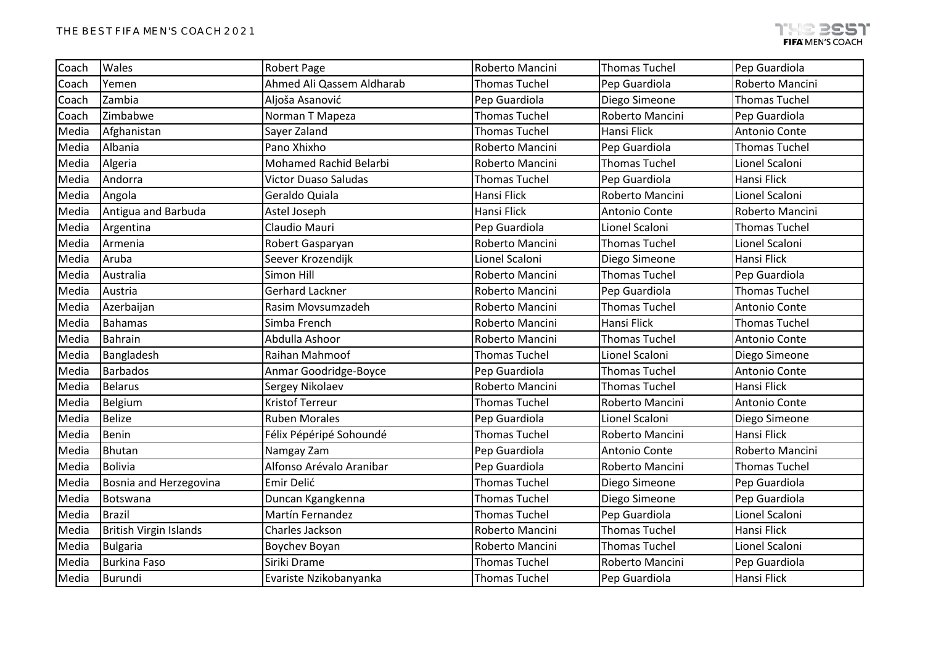| Coach | Wales                         | <b>Robert Page</b>          | Roberto Mancini      | <b>Thomas Tuchel</b> | Pep Guardiola        |
|-------|-------------------------------|-----------------------------|----------------------|----------------------|----------------------|
| Coach | Yemen                         | Ahmed Ali Qassem Aldharab   | <b>Thomas Tuchel</b> | Pep Guardiola        | Roberto Mancini      |
| Coach | Zambia                        | Aljoša Asanović             | Pep Guardiola        | Diego Simeone        | <b>Thomas Tuchel</b> |
| Coach | Zimbabwe                      | Norman T Mapeza             | <b>Thomas Tuchel</b> | Roberto Mancini      | Pep Guardiola        |
| Media | Afghanistan                   | Sayer Zaland                | <b>Thomas Tuchel</b> | <b>Hansi Flick</b>   | Antonio Conte        |
| Media | Albania                       | Pano Xhixho                 | Roberto Mancini      | Pep Guardiola        | <b>Thomas Tuchel</b> |
| Media | Algeria                       | Mohamed Rachid Belarbi      | Roberto Mancini      | <b>Thomas Tuchel</b> | Lionel Scaloni       |
| Media | Andorra                       | <b>Victor Duaso Saludas</b> | <b>Thomas Tuchel</b> | Pep Guardiola        | Hansi Flick          |
| Media | Angola                        | Geraldo Quiala              | Hansi Flick          | Roberto Mancini      | Lionel Scaloni       |
| Media | Antigua and Barbuda           | Astel Joseph                | Hansi Flick          | Antonio Conte        | Roberto Mancini      |
| Media | Argentina                     | Claudio Mauri               | Pep Guardiola        | Lionel Scaloni       | <b>Thomas Tuchel</b> |
| Media | Armenia                       | Robert Gasparyan            | Roberto Mancini      | <b>Thomas Tuchel</b> | Lionel Scaloni       |
| Media | Aruba                         | Seever Krozendijk           | Lionel Scaloni       | Diego Simeone        | <b>Hansi Flick</b>   |
| Media | Australia                     | Simon Hill                  | Roberto Mancini      | <b>Thomas Tuchel</b> | Pep Guardiola        |
| Media | Austria                       | Gerhard Lackner             | Roberto Mancini      | Pep Guardiola        | <b>Thomas Tuchel</b> |
| Media | Azerbaijan                    | Rasim Movsumzadeh           | Roberto Mancini      | <b>Thomas Tuchel</b> | Antonio Conte        |
| Media | <b>Bahamas</b>                | Simba French                | Roberto Mancini      | Hansi Flick          | <b>Thomas Tuchel</b> |
| Media | Bahrain                       | Abdulla Ashoor              | Roberto Mancini      | <b>Thomas Tuchel</b> | Antonio Conte        |
| Media | Bangladesh                    | Raihan Mahmoof              | <b>Thomas Tuchel</b> | Lionel Scaloni       | Diego Simeone        |
| Media | <b>Barbados</b>               | Anmar Goodridge-Boyce       | Pep Guardiola        | <b>Thomas Tuchel</b> | Antonio Conte        |
| Media | Belarus                       | Sergey Nikolaev             | Roberto Mancini      | <b>Thomas Tuchel</b> | <b>Hansi Flick</b>   |
| Media | Belgium                       | <b>Kristof Terreur</b>      | <b>Thomas Tuchel</b> | Roberto Mancini      | Antonio Conte        |
| Media | <b>Belize</b>                 | <b>Ruben Morales</b>        | Pep Guardiola        | Lionel Scaloni       | Diego Simeone        |
| Media | Benin                         | Félix Pépéripé Sohoundé     | <b>Thomas Tuchel</b> | Roberto Mancini      | Hansi Flick          |
| Media | Bhutan                        | Namgay Zam                  | Pep Guardiola        | Antonio Conte        | Roberto Mancini      |
| Media | <b>Bolivia</b>                | Alfonso Arévalo Aranibar    | Pep Guardiola        | Roberto Mancini      | <b>Thomas Tuchel</b> |
| Media | Bosnia and Herzegovina        | Emir Delić                  | <b>Thomas Tuchel</b> | Diego Simeone        | Pep Guardiola        |
| Media | Botswana                      | Duncan Kgangkenna           | <b>Thomas Tuchel</b> | Diego Simeone        | Pep Guardiola        |
| Media | Brazil                        | Martín Fernandez            | <b>Thomas Tuchel</b> | Pep Guardiola        | Lionel Scaloni       |
| Media | <b>British Virgin Islands</b> | Charles Jackson             | Roberto Mancini      | <b>Thomas Tuchel</b> | Hansi Flick          |
| Media | <b>Bulgaria</b>               | Boychev Boyan               | Roberto Mancini      | <b>Thomas Tuchel</b> | Lionel Scaloni       |
| Media | <b>Burkina Faso</b>           | Siriki Drame                | <b>Thomas Tuchel</b> | Roberto Mancini      | Pep Guardiola        |
| Media | Burundi                       | Evariste Nzikobanyanka      | <b>Thomas Tuchel</b> | Pep Guardiola        | Hansi Flick          |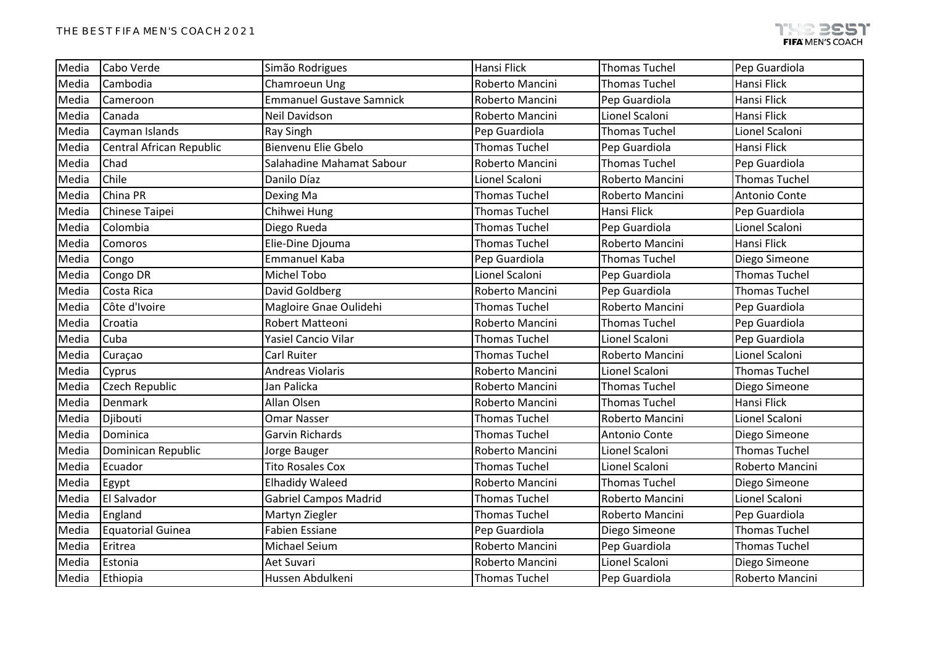| Media | Cabo Verde               | Simão Rodrigues                 | Hansi Flick          | <b>Thomas Tuchel</b> | Pep Guardiola        |
|-------|--------------------------|---------------------------------|----------------------|----------------------|----------------------|
| Media | Cambodia                 | Chamroeun Ung                   | Roberto Mancini      | <b>Thomas Tuchel</b> | Hansi Flick          |
| Media | Cameroon                 | <b>Emmanuel Gustave Samnick</b> | Roberto Mancini      | Pep Guardiola        | Hansi Flick          |
| Media | Canada                   | <b>Neil Davidson</b>            | Roberto Mancini      | Lionel Scaloni       | <b>Hansi Flick</b>   |
| Media | Cayman Islands           | <b>Ray Singh</b>                | Pep Guardiola        | <b>Thomas Tuchel</b> | Lionel Scaloni       |
| Media | Central African Republic | Bienvenu Elie Gbelo             | <b>Thomas Tuchel</b> | Pep Guardiola        | Hansi Flick          |
| Media | Chad                     | Salahadine Mahamat Sabour       | Roberto Mancini      | <b>Thomas Tuchel</b> | Pep Guardiola        |
| Media | Chile                    | Danilo Díaz                     | Lionel Scaloni       | Roberto Mancini      | <b>Thomas Tuchel</b> |
| Media | China PR                 | Dexing Ma                       | <b>Thomas Tuchel</b> | Roberto Mancini      | Antonio Conte        |
| Media | Chinese Taipei           | Chihwei Hung                    | <b>Thomas Tuchel</b> | Hansi Flick          | Pep Guardiola        |
| Media | Colombia                 | Diego Rueda                     | <b>Thomas Tuchel</b> | Pep Guardiola        | Lionel Scaloni       |
| Media | Comoros                  | Elie-Dine Djouma                | <b>Thomas Tuchel</b> | Roberto Mancini      | Hansi Flick          |
| Media | Congo                    | Emmanuel Kaba                   | Pep Guardiola        | <b>Thomas Tuchel</b> | Diego Simeone        |
| Media | Congo DR                 | <b>Michel Tobo</b>              | Lionel Scaloni       | Pep Guardiola        | <b>Thomas Tuchel</b> |
| Media | Costa Rica               | David Goldberg                  | Roberto Mancini      | Pep Guardiola        | <b>Thomas Tuchel</b> |
| Media | Côte d'Ivoire            | Magloire Gnae Oulidehi          | <b>Thomas Tuchel</b> | Roberto Mancini      | Pep Guardiola        |
| Media | Croatia                  | Robert Matteoni                 | Roberto Mancini      | <b>Thomas Tuchel</b> | Pep Guardiola        |
| Media | Cuba                     | <b>Yasiel Cancio Vilar</b>      | <b>Thomas Tuchel</b> | Lionel Scaloni       | Pep Guardiola        |
| Media | Curaçao                  | Carl Ruiter                     | <b>Thomas Tuchel</b> | Roberto Mancini      | Lionel Scaloni       |
| Media | Cyprus                   | <b>Andreas Violaris</b>         | Roberto Mancini      | Lionel Scaloni       | <b>Thomas Tuchel</b> |
| Media | <b>Czech Republic</b>    | Jan Palicka                     | Roberto Mancini      | <b>Thomas Tuchel</b> | Diego Simeone        |
| Media | Denmark                  | Allan Olsen                     | Roberto Mancini      | <b>Thomas Tuchel</b> | Hansi Flick          |
| Media | Djibouti                 | <b>Omar Nasser</b>              | <b>Thomas Tuchel</b> | Roberto Mancini      | Lionel Scaloni       |
| Media | Dominica                 | Garvin Richards                 | <b>Thomas Tuchel</b> | Antonio Conte        | Diego Simeone        |
| Media | Dominican Republic       | Jorge Bauger                    | Roberto Mancini      | Lionel Scaloni       | <b>Thomas Tuchel</b> |
| Media | Ecuador                  | <b>Tito Rosales Cox</b>         | <b>Thomas Tuchel</b> | Lionel Scaloni       | Roberto Mancini      |
| Media | Egypt                    | <b>Elhadidy Waleed</b>          | Roberto Mancini      | <b>Thomas Tuchel</b> | Diego Simeone        |
| Media | El Salvador              | <b>Gabriel Campos Madrid</b>    | <b>Thomas Tuchel</b> | Roberto Mancini      | Lionel Scaloni       |
| Media | England                  | Martyn Ziegler                  | <b>Thomas Tuchel</b> | Roberto Mancini      | Pep Guardiola        |
| Media | <b>Equatorial Guinea</b> | <b>Fabien Essiane</b>           | Pep Guardiola        | Diego Simeone        | <b>Thomas Tuchel</b> |
| Media | Eritrea                  | <b>Michael Seium</b>            | Roberto Mancini      | Pep Guardiola        | <b>Thomas Tuchel</b> |
| Media | Estonia                  | Aet Suvari                      | Roberto Mancini      | Lionel Scaloni       | Diego Simeone        |
| Media | Ethiopia                 | Hussen Abdulkeni                | <b>Thomas Tuchel</b> | Pep Guardiola        | Roberto Mancini      |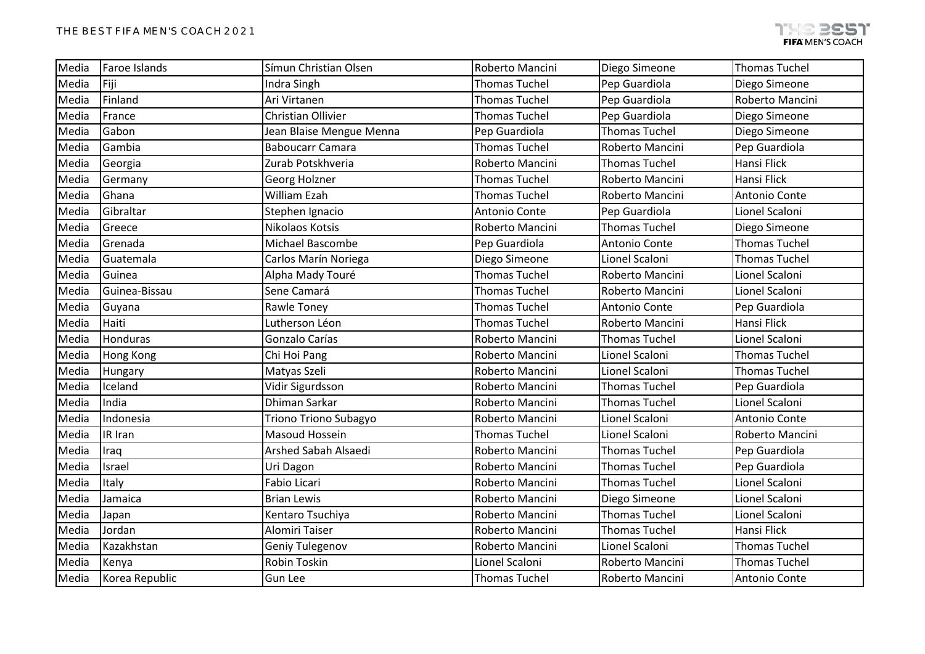| Media | Faroe Islands    | Símun Christian Olsen        | Roberto Mancini      | Diego Simeone        | <b>Thomas Tuchel</b> |
|-------|------------------|------------------------------|----------------------|----------------------|----------------------|
| Media | Fiji             | Indra Singh                  | <b>Thomas Tuchel</b> | Pep Guardiola        | Diego Simeone        |
| Media | Finland          | Ari Virtanen                 | <b>Thomas Tuchel</b> | Pep Guardiola        | Roberto Mancini      |
| Media | France           | <b>Christian Ollivier</b>    | <b>Thomas Tuchel</b> | Pep Guardiola        | Diego Simeone        |
| Media | Gabon            | Jean Blaise Mengue Menna     | Pep Guardiola        | <b>Thomas Tuchel</b> | Diego Simeone        |
| Media | Gambia           | <b>Baboucarr Camara</b>      | <b>Thomas Tuchel</b> | Roberto Mancini      | Pep Guardiola        |
| Media | Georgia          | Zurab Potskhveria            | Roberto Mancini      | <b>Thomas Tuchel</b> | Hansi Flick          |
| Media | Germany          | Georg Holzner                | <b>Thomas Tuchel</b> | Roberto Mancini      | Hansi Flick          |
| Media | Ghana            | William Ezah                 | <b>Thomas Tuchel</b> | Roberto Mancini      | Antonio Conte        |
| Media | Gibraltar        | Stephen Ignacio              | Antonio Conte        | Pep Guardiola        | Lionel Scaloni       |
| Media | Greece           | Nikolaos Kotsis              | Roberto Mancini      | <b>Thomas Tuchel</b> | Diego Simeone        |
| Media | Grenada          | Michael Bascombe             | Pep Guardiola        | Antonio Conte        | <b>Thomas Tuchel</b> |
| Media | Guatemala        | Carlos Marín Noriega         | Diego Simeone        | Lionel Scaloni       | <b>Thomas Tuchel</b> |
| Media | Guinea           | Alpha Mady Touré             | <b>Thomas Tuchel</b> | Roberto Mancini      | Lionel Scaloni       |
| Media | Guinea-Bissau    | Sene Camará                  | <b>Thomas Tuchel</b> | Roberto Mancini      | Lionel Scaloni       |
| Media | Guyana           | Rawle Toney                  | <b>Thomas Tuchel</b> | Antonio Conte        | Pep Guardiola        |
| Media | Haiti            | Lutherson Léon               | <b>Thomas Tuchel</b> | Roberto Mancini      | Hansi Flick          |
| Media | Honduras         | Gonzalo Carías               | Roberto Mancini      | <b>Thomas Tuchel</b> | Lionel Scaloni       |
| Media | <b>Hong Kong</b> | Chi Hoi Pang                 | Roberto Mancini      | Lionel Scaloni       | <b>Thomas Tuchel</b> |
| Media | Hungary          | Matyas Szeli                 | Roberto Mancini      | Lionel Scaloni       | <b>Thomas Tuchel</b> |
| Media | Iceland          | Vidir Sigurdsson             | Roberto Mancini      | <b>Thomas Tuchel</b> | Pep Guardiola        |
| Media | India            | Dhiman Sarkar                | Roberto Mancini      | <b>Thomas Tuchel</b> | Lionel Scaloni       |
| Media | Indonesia        | <b>Triono Triono Subagyo</b> | Roberto Mancini      | Lionel Scaloni       | Antonio Conte        |
| Media | IR Iran          | Masoud Hossein               | <b>Thomas Tuchel</b> | Lionel Scaloni       | Roberto Mancini      |
| Media | Iraq             | Arshed Sabah Alsaedi         | Roberto Mancini      | <b>Thomas Tuchel</b> | Pep Guardiola        |
| Media | Israel           | Uri Dagon                    | Roberto Mancini      | <b>Thomas Tuchel</b> | Pep Guardiola        |
| Media | Italy            | Fabio Licari                 | Roberto Mancini      | <b>Thomas Tuchel</b> | Lionel Scaloni       |
| Media | Jamaica          | <b>Brian Lewis</b>           | Roberto Mancini      | Diego Simeone        | Lionel Scaloni       |
| Media | Japan            | Kentaro Tsuchiya             | Roberto Mancini      | <b>Thomas Tuchel</b> | Lionel Scaloni       |
| Media | Jordan           | Alomiri Taiser               | Roberto Mancini      | <b>Thomas Tuchel</b> | Hansi Flick          |
| Media | Kazakhstan       | Geniy Tulegenov              | Roberto Mancini      | Lionel Scaloni       | <b>Thomas Tuchel</b> |
| Media | Kenya            | Robin Toskin                 | Lionel Scaloni       | Roberto Mancini      | <b>Thomas Tuchel</b> |
| Media | Korea Republic   | Gun Lee                      | <b>Thomas Tuchel</b> | Roberto Mancini      | Antonio Conte        |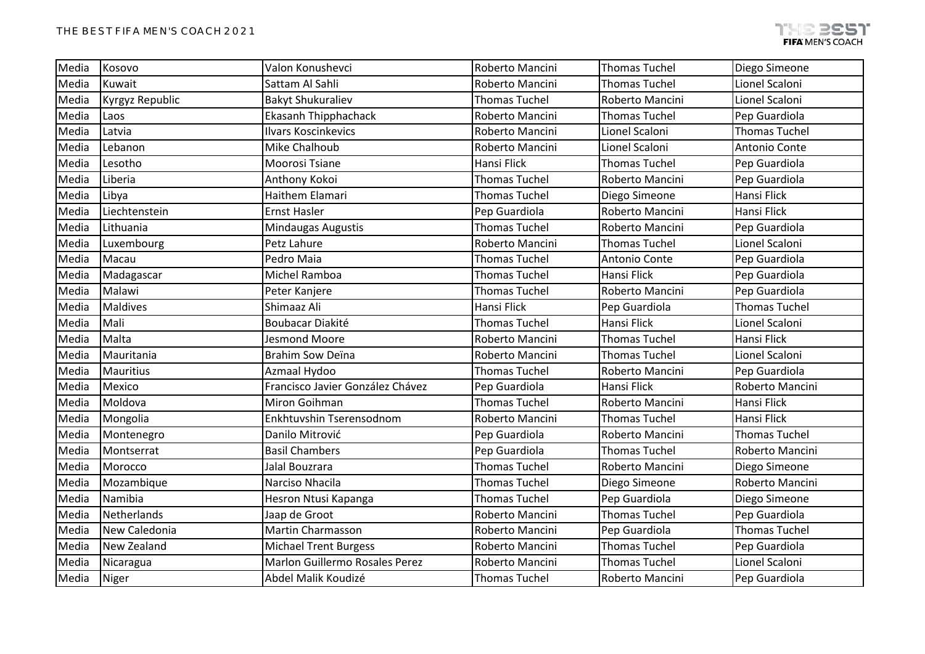| Media | Kosovo           | Valon Konushevci                      | Roberto Mancini      | <b>Thomas Tuchel</b> | Diego Simeone        |
|-------|------------------|---------------------------------------|----------------------|----------------------|----------------------|
| Media | Kuwait           | Sattam Al Sahli                       | Roberto Mancini      | <b>Thomas Tuchel</b> | Lionel Scaloni       |
| Media | Kyrgyz Republic  | <b>Bakyt Shukuraliev</b>              | <b>Thomas Tuchel</b> | Roberto Mancini      | Lionel Scaloni       |
| Media | Laos             | Ekasanh Thipphachack                  | Roberto Mancini      | <b>Thomas Tuchel</b> | Pep Guardiola        |
| Media | Latvia           | <b>Ilvars Koscinkevics</b>            | Roberto Mancini      | Lionel Scaloni       | <b>Thomas Tuchel</b> |
| Media | Lebanon          | Mike Chalhoub                         | Roberto Mancini      | Lionel Scaloni       | Antonio Conte        |
| Media | Lesotho          | Moorosi Tsiane                        | <b>Hansi Flick</b>   | <b>Thomas Tuchel</b> | Pep Guardiola        |
| Media | Liberia          | Anthony Kokoi                         | <b>Thomas Tuchel</b> | Roberto Mancini      | Pep Guardiola        |
| Media | Libya            | Haithem Elamari                       | <b>Thomas Tuchel</b> | Diego Simeone        | Hansi Flick          |
| Media | Liechtenstein    | <b>Ernst Hasler</b>                   | Pep Guardiola        | Roberto Mancini      | Hansi Flick          |
| Media | Lithuania        | Mindaugas Augustis                    | <b>Thomas Tuchel</b> | Roberto Mancini      | Pep Guardiola        |
| Media | Luxembourg       | Petz Lahure                           | Roberto Mancini      | <b>Thomas Tuchel</b> | Lionel Scaloni       |
| Media | Macau            | Pedro Maia                            | <b>Thomas Tuchel</b> | Antonio Conte        | Pep Guardiola        |
| Media | Madagascar       | Michel Ramboa                         | <b>Thomas Tuchel</b> | Hansi Flick          | Pep Guardiola        |
| Media | Malawi           | Peter Kanjere                         | <b>Thomas Tuchel</b> | Roberto Mancini      | Pep Guardiola        |
| Media | <b>Maldives</b>  | Shimaaz Ali                           | Hansi Flick          | Pep Guardiola        | <b>Thomas Tuchel</b> |
| Media | Mali             | Boubacar Diakité                      | <b>Thomas Tuchel</b> | <b>Hansi Flick</b>   | Lionel Scaloni       |
| Media | Malta            | Jesmond Moore                         | Roberto Mancini      | <b>Thomas Tuchel</b> | Hansi Flick          |
| Media | Mauritania       | <b>Brahim Sow Deïna</b>               | Roberto Mancini      | <b>Thomas Tuchel</b> | Lionel Scaloni       |
| Media | <b>Mauritius</b> | Azmaal Hydoo                          | <b>Thomas Tuchel</b> | Roberto Mancini      | Pep Guardiola        |
| Media | Mexico           | Francisco Javier González Chávez      | Pep Guardiola        | Hansi Flick          | Roberto Mancini      |
| Media | Moldova          | <b>Miron Goihman</b>                  | <b>Thomas Tuchel</b> | Roberto Mancini      | Hansi Flick          |
| Media | Mongolia         | Enkhtuvshin Tserensodnom              | Roberto Mancini      | <b>Thomas Tuchel</b> | Hansi Flick          |
| Media | Montenegro       | Danilo Mitrović                       | Pep Guardiola        | Roberto Mancini      | <b>Thomas Tuchel</b> |
| Media | Montserrat       | <b>Basil Chambers</b>                 | Pep Guardiola        | <b>Thomas Tuchel</b> | Roberto Mancini      |
| Media | Morocco          | Jalal Bouzrara                        | <b>Thomas Tuchel</b> | Roberto Mancini      | Diego Simeone        |
| Media | Mozambique       | Narciso Nhacila                       | <b>Thomas Tuchel</b> | Diego Simeone        | Roberto Mancini      |
| Media | Namibia          | Hesron Ntusi Kapanga                  | <b>Thomas Tuchel</b> | Pep Guardiola        | Diego Simeone        |
| Media | Netherlands      | Jaap de Groot                         | Roberto Mancini      | <b>Thomas Tuchel</b> | Pep Guardiola        |
| Media | New Caledonia    | Martin Charmasson                     | Roberto Mancini      | Pep Guardiola        | <b>Thomas Tuchel</b> |
| Media | New Zealand      | <b>Michael Trent Burgess</b>          | Roberto Mancini      | <b>Thomas Tuchel</b> | Pep Guardiola        |
| Media | Nicaragua        | <b>Marlon Guillermo Rosales Perez</b> | Roberto Mancini      | <b>Thomas Tuchel</b> | Lionel Scaloni       |
| Media | Niger            | Abdel Malik Koudizé                   | <b>Thomas Tuchel</b> | Roberto Mancini      | Pep Guardiola        |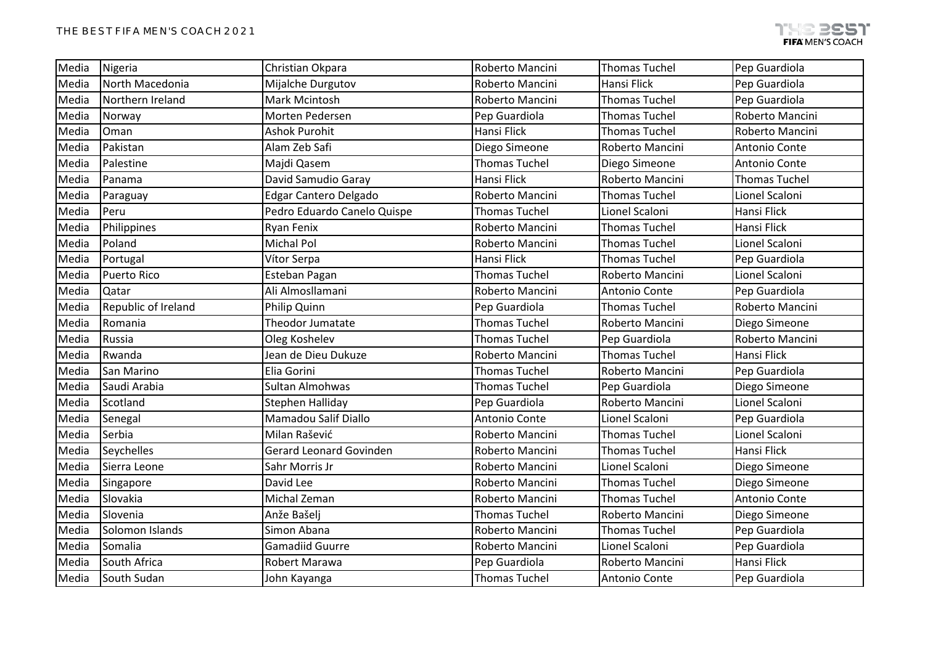| Media | Nigeria             | Christian Okpara               | Roberto Mancini      | <b>Thomas Tuchel</b> | Pep Guardiola        |
|-------|---------------------|--------------------------------|----------------------|----------------------|----------------------|
| Media | North Macedonia     | Mijalche Durgutov              | Roberto Mancini      | Hansi Flick          | Pep Guardiola        |
| Media | Northern Ireland    | Mark Mcintosh                  | Roberto Mancini      | <b>Thomas Tuchel</b> | Pep Guardiola        |
| Media | Norway              | Morten Pedersen                | Pep Guardiola        | <b>Thomas Tuchel</b> | Roberto Mancini      |
| Media | Oman                | <b>Ashok Purohit</b>           | Hansi Flick          | <b>Thomas Tuchel</b> | Roberto Mancini      |
| Media | Pakistan            | Alam Zeb Safi                  | Diego Simeone        | Roberto Mancini      | Antonio Conte        |
| Media | Palestine           | Majdi Qasem                    | <b>Thomas Tuchel</b> | Diego Simeone        | Antonio Conte        |
| Media | Panama              | David Samudio Garay            | Hansi Flick          | Roberto Mancini      | <b>Thomas Tuchel</b> |
| Media | Paraguay            | Edgar Cantero Delgado          | Roberto Mancini      | <b>Thomas Tuchel</b> | Lionel Scaloni       |
| Media | Peru                | Pedro Eduardo Canelo Quispe    | <b>Thomas Tuchel</b> | Lionel Scaloni       | Hansi Flick          |
| Media | Philippines         | Ryan Fenix                     | Roberto Mancini      | <b>Thomas Tuchel</b> | Hansi Flick          |
| Media | Poland              | Michal Pol                     | Roberto Mancini      | <b>Thomas Tuchel</b> | Lionel Scaloni       |
| Media | Portugal            | Vítor Serpa                    | Hansi Flick          | <b>Thomas Tuchel</b> | Pep Guardiola        |
| Media | <b>Puerto Rico</b>  | Esteban Pagan                  | <b>Thomas Tuchel</b> | Roberto Mancini      | Lionel Scaloni       |
| Media | Qatar               | Ali Almosllamani               | Roberto Mancini      | Antonio Conte        | Pep Guardiola        |
| Media | Republic of Ireland | Philip Quinn                   | Pep Guardiola        | <b>Thomas Tuchel</b> | Roberto Mancini      |
| Media | Romania             | Theodor Jumatate               | <b>Thomas Tuchel</b> | Roberto Mancini      | Diego Simeone        |
| Media | Russia              | Oleg Koshelev                  | <b>Thomas Tuchel</b> | Pep Guardiola        | Roberto Mancini      |
| Media | Rwanda              | Jean de Dieu Dukuze            | Roberto Mancini      | <b>Thomas Tuchel</b> | Hansi Flick          |
| Media | San Marino          | Elia Gorini                    | <b>Thomas Tuchel</b> | Roberto Mancini      | Pep Guardiola        |
| Media | Saudi Arabia        | Sultan Almohwas                | <b>Thomas Tuchel</b> | Pep Guardiola        | Diego Simeone        |
| Media | Scotland            | Stephen Halliday               | Pep Guardiola        | Roberto Mancini      | Lionel Scaloni       |
| Media | Senegal             | Mamadou Salif Diallo           | Antonio Conte        | Lionel Scaloni       | Pep Guardiola        |
| Media | Serbia              | Milan Rašević                  | Roberto Mancini      | <b>Thomas Tuchel</b> | Lionel Scaloni       |
| Media | Seychelles          | <b>Gerard Leonard Govinden</b> | Roberto Mancini      | <b>Thomas Tuchel</b> | Hansi Flick          |
| Media | Sierra Leone        | Sahr Morris Jr                 | Roberto Mancini      | Lionel Scaloni       | Diego Simeone        |
| Media | Singapore           | David Lee                      | Roberto Mancini      | <b>Thomas Tuchel</b> | Diego Simeone        |
| Media | Slovakia            | Michal Zeman                   | Roberto Mancini      | <b>Thomas Tuchel</b> | Antonio Conte        |
| Media | Slovenia            | Anže Bašelj                    | <b>Thomas Tuchel</b> | Roberto Mancini      | Diego Simeone        |
| Media | Solomon Islands     | Simon Abana                    | Roberto Mancini      | <b>Thomas Tuchel</b> | Pep Guardiola        |
| Media | Somalia             | <b>Gamadiid Guurre</b>         | Roberto Mancini      | Lionel Scaloni       | Pep Guardiola        |
| Media | South Africa        | Robert Marawa                  | Pep Guardiola        | Roberto Mancini      | Hansi Flick          |
| Media | South Sudan         | John Kayanga                   | <b>Thomas Tuchel</b> | Antonio Conte        | Pep Guardiola        |